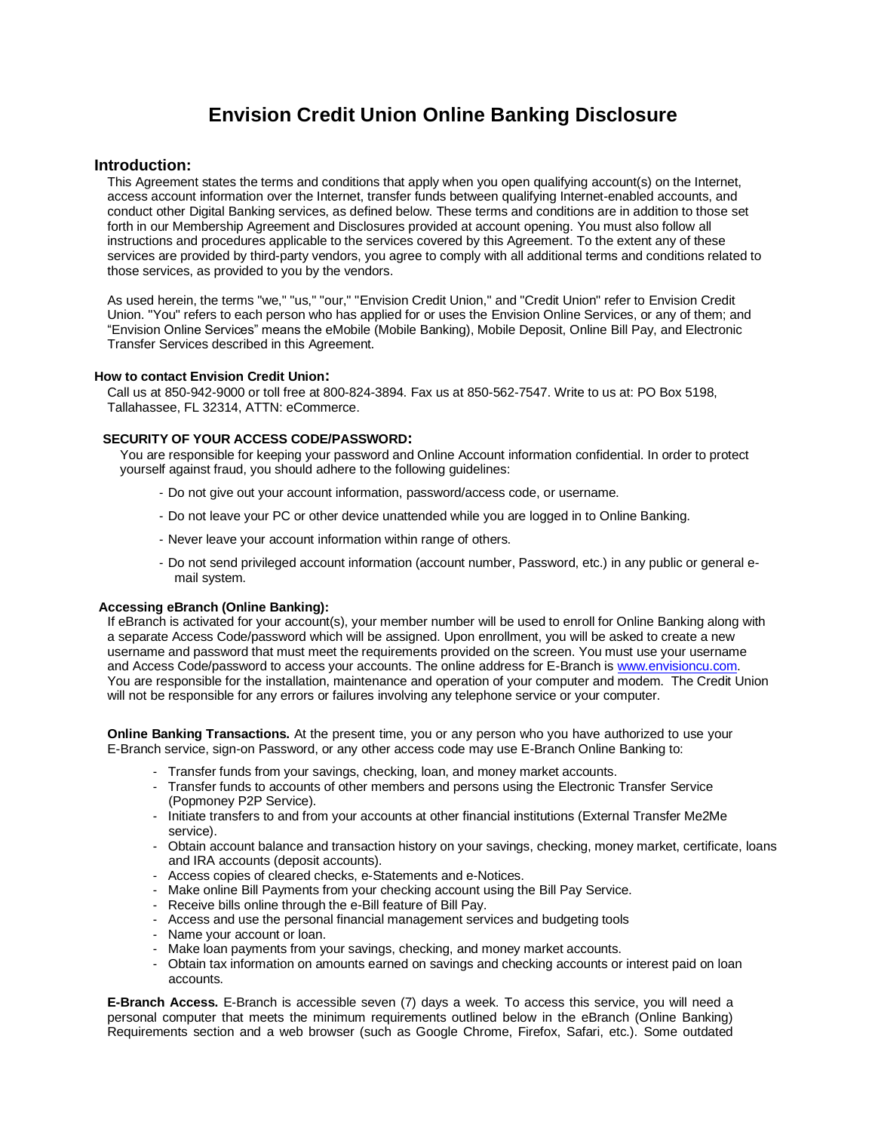# **Envision Credit Union Online Banking Disclosure**

### **Introduction:**

This Agreement states the terms and conditions that apply when you open qualifying account(s) on the Internet, access account information over the Internet, transfer funds between qualifying Internet-enabled accounts, and conduct other Digital Banking services, as defined below. These terms and conditions are in addition to those set forth in our Membership Agreement and Disclosures provided at account opening. You must also follow all instructions and procedures applicable to the services covered by this Agreement. To the extent any of these services are provided by third-party vendors, you agree to comply with all additional terms and conditions related to those services, as provided to you by the vendors.

As used herein, the terms "we," "us," "our," "Envision Credit Union," and "Credit Union" refer to Envision Credit Union. "You" refers to each person who has applied for or uses the Envision Online Services, or any of them; and "Envision Online Services" means the eMobile (Mobile Banking), Mobile Deposit, Online Bill Pay, and Electronic Transfer Services described in this Agreement.

#### **How to contact Envision Credit Union:**

Call us at 850-942-9000 or toll free at 800-824-3894. Fax us at 850-562-7547. Write to us at: PO Box 5198, Tallahassee, FL 32314, ATTN: eCommerce.

### **SECURITY OF YOUR ACCESS CODE/PASSWORD:**

You are responsible for keeping your password and Online Account information confidential. In order to protect yourself against fraud, you should adhere to the following guidelines:

- Do not give out your account information, password/access code, or username.
- Do not leave your PC or other device unattended while you are logged in to Online Banking.
- Never leave your account information within range of others.
- Do not send privileged account information (account number, Password, etc.) in any public or general email system.

### **Accessing eBranch (Online Banking):**

If eBranch is activated for your account(s), your member number will be used to enroll for Online Banking along with a separate Access Code/password which will be assigned. Upon enrollment, you will be asked to create a new username and password that must meet the requirements provided on the screen. You must use your username and Access Code/password to access your accounts. The online address for E-Branch i[s www.envisioncu.com.](http://www.envisioncu.com/) You are responsible for the installation, maintenance and operation of your computer and modem. The Credit Union will not be responsible for any errors or failures involving any telephone service or your computer.

**Online Banking Transactions.** At the present time, you or any person who you have authorized to use your E-Branch service, sign-on Password, or any other access code may use E-Branch Online Banking to:

- Transfer funds from your savings, checking, loan, and money market accounts.
- Transfer funds to accounts of other members and persons using the Electronic Transfer Service (Popmoney P2P Service).
- Initiate transfers to and from your accounts at other financial institutions (External Transfer Me2Me service).
- Obtain account balance and transaction history on your savings, checking, money market, certificate, loans and IRA accounts (deposit accounts).
- Access copies of cleared checks, e-Statements and e-Notices.
- Make online Bill Payments from your checking account using the Bill Pay Service.
- Receive bills online through the e-Bill feature of Bill Pay.
- Access and use the personal financial management services and budgeting tools
- Name your account or loan.
- Make loan payments from your savings, checking, and money market accounts.
- Obtain tax information on amounts earned on savings and checking accounts or interest paid on loan accounts.

**E-Branch Access.** E-Branch is accessible seven (7) days a week. To access this service, you will need a personal computer that meets the minimum requirements outlined below in the eBranch (Online Banking) Requirements section and a web browser (such as Google Chrome, Firefox, Safari, etc.). Some outdated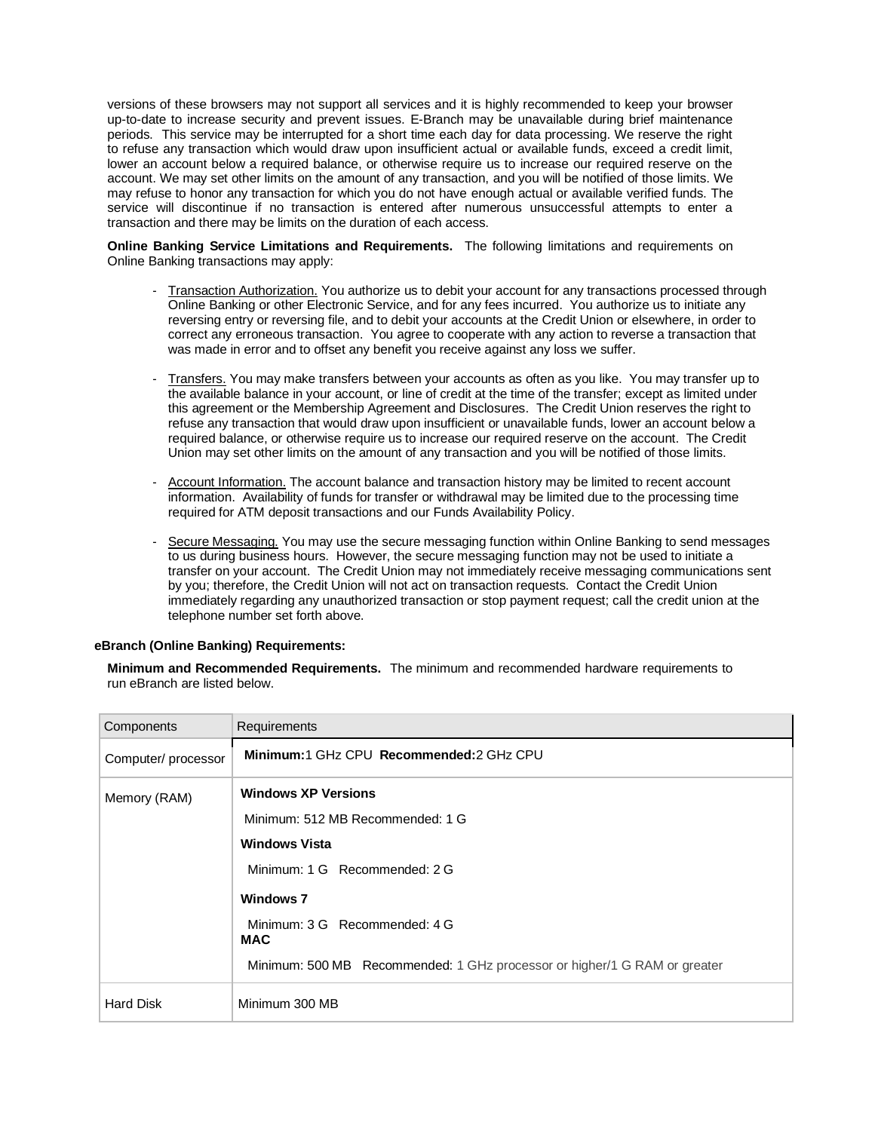versions of these browsers may not support all services and it is highly recommended to keep your browser up-to-date to increase security and prevent issues. E-Branch may be unavailable during brief maintenance periods. This service may be interrupted for a short time each day for data processing. We reserve the right to refuse any transaction which would draw upon insufficient actual or available funds, exceed a credit limit, lower an account below a required balance, or otherwise require us to increase our required reserve on the account. We may set other limits on the amount of any transaction, and you will be notified of those limits. We may refuse to honor any transaction for which you do not have enough actual or available verified funds. The service will discontinue if no transaction is entered after numerous unsuccessful attempts to enter a transaction and there may be limits on the duration of each access.

**Online Banking Service Limitations and Requirements.** The following limitations and requirements on Online Banking transactions may apply:

- Transaction Authorization. You authorize us to debit your account for any transactions processed through Online Banking or other Electronic Service, and for any fees incurred. You authorize us to initiate any reversing entry or reversing file, and to debit your accounts at the Credit Union or elsewhere, in order to correct any erroneous transaction. You agree to cooperate with any action to reverse a transaction that was made in error and to offset any benefit you receive against any loss we suffer.
- Transfers. You may make transfers between your accounts as often as you like. You may transfer up to the available balance in your account, or line of credit at the time of the transfer; except as limited under this agreement or the Membership Agreement and Disclosures. The Credit Union reserves the right to refuse any transaction that would draw upon insufficient or unavailable funds, lower an account below a required balance, or otherwise require us to increase our required reserve on the account. The Credit Union may set other limits on the amount of any transaction and you will be notified of those limits.
- Account Information. The account balance and transaction history may be limited to recent account information. Availability of funds for transfer or withdrawal may be limited due to the processing time required for ATM deposit transactions and our Funds Availability Policy.
- Secure Messaging. You may use the secure messaging function within Online Banking to send messages to us during business hours. However, the secure messaging function may not be used to initiate a transfer on your account. The Credit Union may not immediately receive messaging communications sent by you; therefore, the Credit Union will not act on transaction requests. Contact the Credit Union immediately regarding any unauthorized transaction or stop payment request; call the credit union at the telephone number set forth above.

### **eBranch (Online Banking) Requirements:**

**Minimum and Recommended Requirements.** The minimum and recommended hardware requirements to run eBranch are listed below.

| Components          | <b>Requirements</b>                                                       |
|---------------------|---------------------------------------------------------------------------|
| Computer/ processor | Minimum:1 GHz CPU Recommended:2 GHz CPU                                   |
| Memory (RAM)        | <b>Windows XP Versions</b>                                                |
|                     | Minimum: 512 MB Recommended: 1 G                                          |
|                     | <b>Windows Vista</b>                                                      |
|                     | Minimum: 1 G Recommended: 2 G                                             |
|                     | <b>Windows 7</b>                                                          |
|                     | Minimum: 3 G Recommended: 4 G<br><b>MAC</b>                               |
|                     | Minimum: 500 MB Recommended: 1 GHz processor or higher/1 G RAM or greater |
| <b>Hard Disk</b>    | Minimum 300 MB                                                            |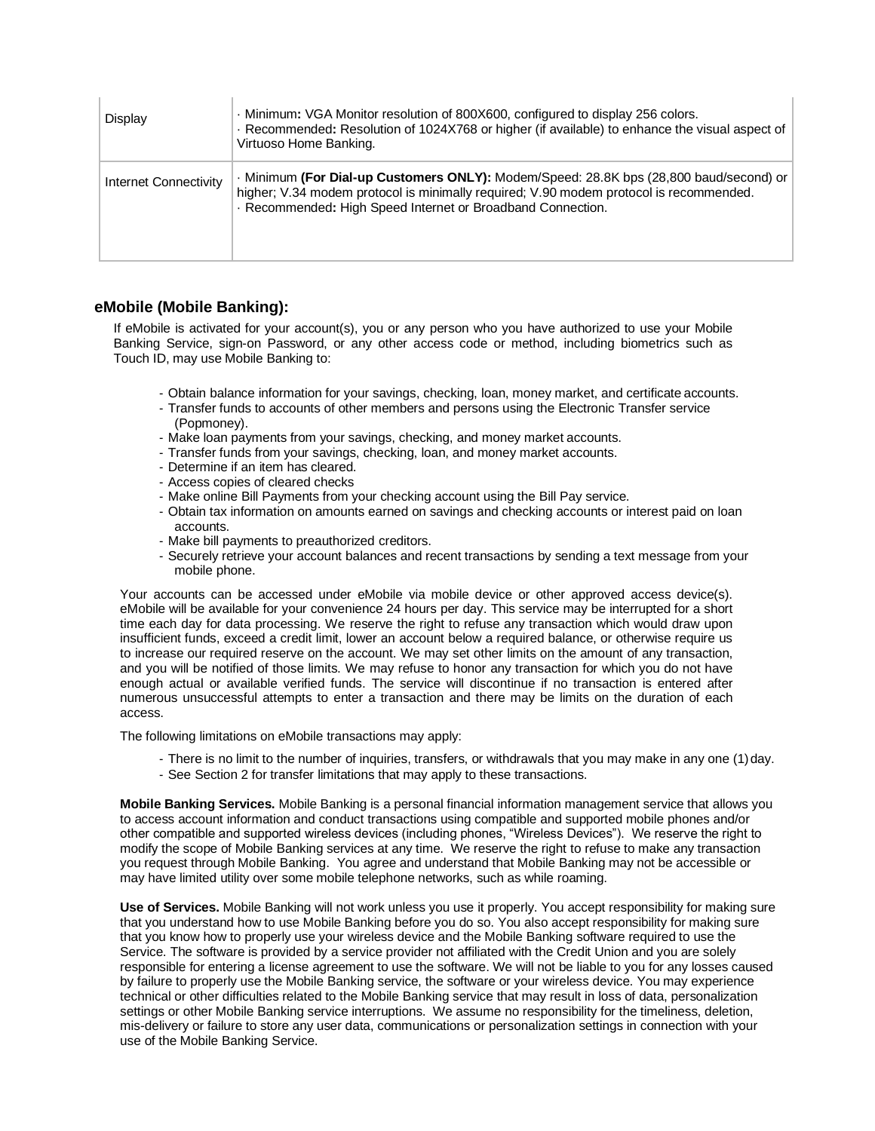| Display               | . Minimum: VGA Monitor resolution of 800X600, configured to display 256 colors.<br>· Recommended: Resolution of 1024X768 or higher (if available) to enhance the visual aspect of<br>Virtuoso Home Banking.                                   |
|-----------------------|-----------------------------------------------------------------------------------------------------------------------------------------------------------------------------------------------------------------------------------------------|
| Internet Connectivity | · Minimum (For Dial-up Customers ONLY): Modem/Speed: 28.8K bps (28.800 baud/second) or<br>higher; V.34 modem protocol is minimally required; V.90 modem protocol is recommended.<br>Recommended: High Speed Internet or Broadband Connection. |

### **eMobile (Mobile Banking):**

If eMobile is activated for your account(s), you or any person who you have authorized to use your Mobile Banking Service, sign-on Password, or any other access code or method, including biometrics such as Touch ID, may use Mobile Banking to:

- Obtain balance information for your savings, checking, loan, money market, and certificate accounts.
- Transfer funds to accounts of other members and persons using the Electronic Transfer service (Popmoney).
- Make loan payments from your savings, checking, and money market accounts.
- Transfer funds from your savings, checking, loan, and money market accounts.
- Determine if an item has cleared.
- Access copies of cleared checks
- Make online Bill Payments from your checking account using the Bill Pay service.
- Obtain tax information on amounts earned on savings and checking accounts or interest paid on loan accounts.
- Make bill payments to preauthorized creditors.
- Securely retrieve your account balances and recent transactions by sending a text message from your mobile phone.

Your accounts can be accessed under eMobile via mobile device or other approved access device(s). eMobile will be available for your convenience 24 hours per day. This service may be interrupted for a short time each day for data processing. We reserve the right to refuse any transaction which would draw upon insufficient funds, exceed a credit limit, lower an account below a required balance, or otherwise require us to increase our required reserve on the account. We may set other limits on the amount of any transaction, and you will be notified of those limits. We may refuse to honor any transaction for which you do not have enough actual or available verified funds. The service will discontinue if no transaction is entered after numerous unsuccessful attempts to enter a transaction and there may be limits on the duration of each access.

The following limitations on eMobile transactions may apply:

- There is no limit to the number of inquiries, transfers, or withdrawals that you may make in any one (1) day.
- See Section 2 for transfer limitations that may apply to these transactions.

**Mobile Banking Services.** Mobile Banking is a personal financial information management service that allows you to access account information and conduct transactions using compatible and supported mobile phones and/or other compatible and supported wireless devices (including phones, "Wireless Devices"). We reserve the right to modify the scope of Mobile Banking services at any time. We reserve the right to refuse to make any transaction you request through Mobile Banking. You agree and understand that Mobile Banking may not be accessible or may have limited utility over some mobile telephone networks, such as while roaming.

**Use of Services.** Mobile Banking will not work unless you use it properly. You accept responsibility for making sure that you understand how to use Mobile Banking before you do so. You also accept responsibility for making sure that you know how to properly use your wireless device and the Mobile Banking software required to use the Service. The software is provided by a service provider not affiliated with the Credit Union and you are solely responsible for entering a license agreement to use the software. We will not be liable to you for any losses caused by failure to properly use the Mobile Banking service, the software or your wireless device. You may experience technical or other difficulties related to the Mobile Banking service that may result in loss of data, personalization settings or other Mobile Banking service interruptions. We assume no responsibility for the timeliness, deletion, mis-delivery or failure to store any user data, communications or personalization settings in connection with your use of the Mobile Banking Service.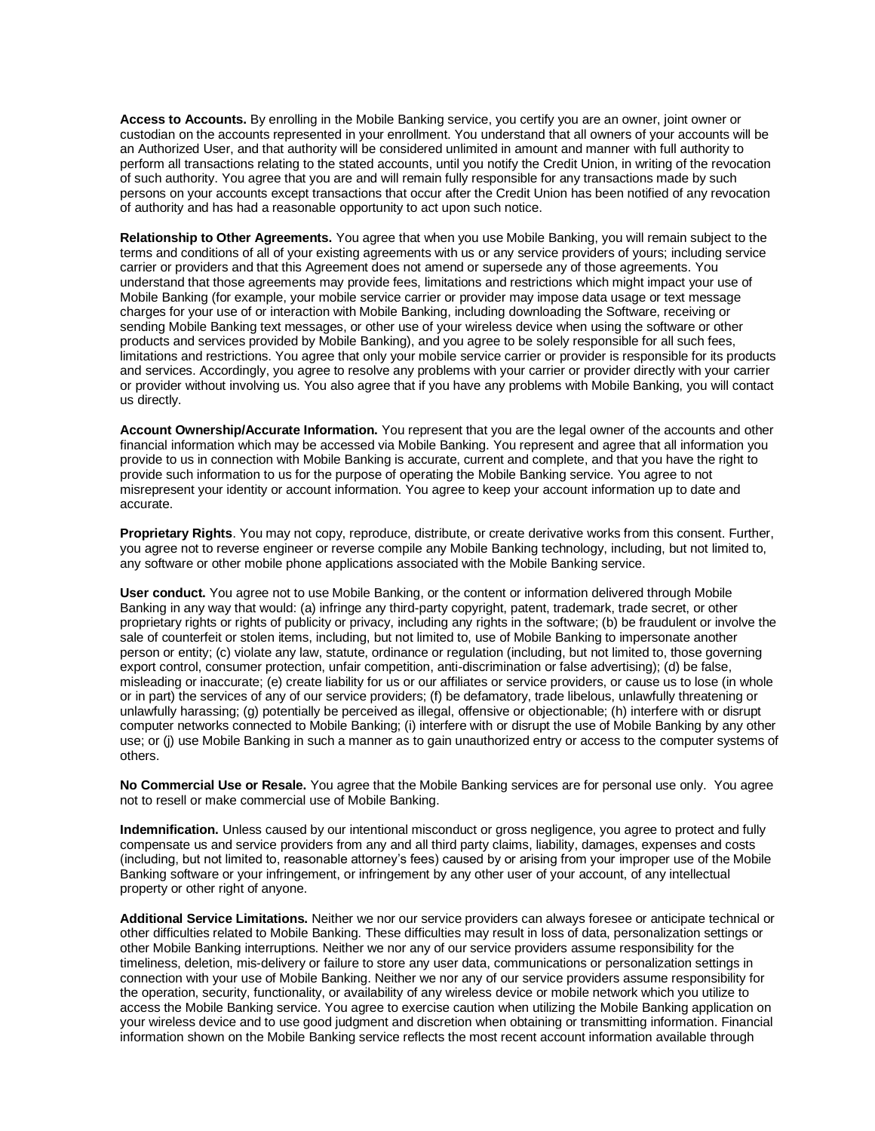**Access to Accounts.** By enrolling in the Mobile Banking service, you certify you are an owner, joint owner or custodian on the accounts represented in your enrollment. You understand that all owners of your accounts will be an Authorized User, and that authority will be considered unlimited in amount and manner with full authority to perform all transactions relating to the stated accounts, until you notify the Credit Union, in writing of the revocation of such authority. You agree that you are and will remain fully responsible for any transactions made by such persons on your accounts except transactions that occur after the Credit Union has been notified of any revocation of authority and has had a reasonable opportunity to act upon such notice.

**Relationship to Other Agreements.** You agree that when you use Mobile Banking, you will remain subject to the terms and conditions of all of your existing agreements with us or any service providers of yours; including service carrier or providers and that this Agreement does not amend or supersede any of those agreements. You understand that those agreements may provide fees, limitations and restrictions which might impact your use of Mobile Banking (for example, your mobile service carrier or provider may impose data usage or text message charges for your use of or interaction with Mobile Banking, including downloading the Software, receiving or sending Mobile Banking text messages, or other use of your wireless device when using the software or other products and services provided by Mobile Banking), and you agree to be solely responsible for all such fees, limitations and restrictions. You agree that only your mobile service carrier or provider is responsible for its products and services. Accordingly, you agree to resolve any problems with your carrier or provider directly with your carrier or provider without involving us. You also agree that if you have any problems with Mobile Banking, you will contact us directly.

**Account Ownership/Accurate Information.** You represent that you are the legal owner of the accounts and other financial information which may be accessed via Mobile Banking. You represent and agree that all information you provide to us in connection with Mobile Banking is accurate, current and complete, and that you have the right to provide such information to us for the purpose of operating the Mobile Banking service. You agree to not misrepresent your identity or account information. You agree to keep your account information up to date and accurate.

**Proprietary Rights**. You may not copy, reproduce, distribute, or create derivative works from this consent. Further, you agree not to reverse engineer or reverse compile any Mobile Banking technology, including, but not limited to, any software or other mobile phone applications associated with the Mobile Banking service.

**User conduct.** You agree not to use Mobile Banking, or the content or information delivered through Mobile Banking in any way that would: (a) infringe any third-party copyright, patent, trademark, trade secret, or other proprietary rights or rights of publicity or privacy, including any rights in the software; (b) be fraudulent or involve the sale of counterfeit or stolen items, including, but not limited to, use of Mobile Banking to impersonate another person or entity; (c) violate any law, statute, ordinance or regulation (including, but not limited to, those governing export control, consumer protection, unfair competition, anti-discrimination or false advertising); (d) be false, misleading or inaccurate; (e) create liability for us or our affiliates or service providers, or cause us to lose (in whole or in part) the services of any of our service providers; (f) be defamatory, trade libelous, unlawfully threatening or unlawfully harassing; (g) potentially be perceived as illegal, offensive or objectionable; (h) interfere with or disrupt computer networks connected to Mobile Banking; (i) interfere with or disrupt the use of Mobile Banking by any other use; or (j) use Mobile Banking in such a manner as to gain unauthorized entry or access to the computer systems of others.

**No Commercial Use or Resale.** You agree that the Mobile Banking services are for personal use only. You agree not to resell or make commercial use of Mobile Banking.

**Indemnification.** Unless caused by our intentional misconduct or gross negligence, you agree to protect and fully compensate us and service providers from any and all third party claims, liability, damages, expenses and costs (including, but not limited to, reasonable attorney's fees) caused by or arising from your improper use of the Mobile Banking software or your infringement, or infringement by any other user of your account, of any intellectual property or other right of anyone.

**Additional Service Limitations.** Neither we nor our service providers can always foresee or anticipate technical or other difficulties related to Mobile Banking. These difficulties may result in loss of data, personalization settings or other Mobile Banking interruptions. Neither we nor any of our service providers assume responsibility for the timeliness, deletion, mis-delivery or failure to store any user data, communications or personalization settings in connection with your use of Mobile Banking. Neither we nor any of our service providers assume responsibility for the operation, security, functionality, or availability of any wireless device or mobile network which you utilize to access the Mobile Banking service. You agree to exercise caution when utilizing the Mobile Banking application on your wireless device and to use good judgment and discretion when obtaining or transmitting information. Financial information shown on the Mobile Banking service reflects the most recent account information available through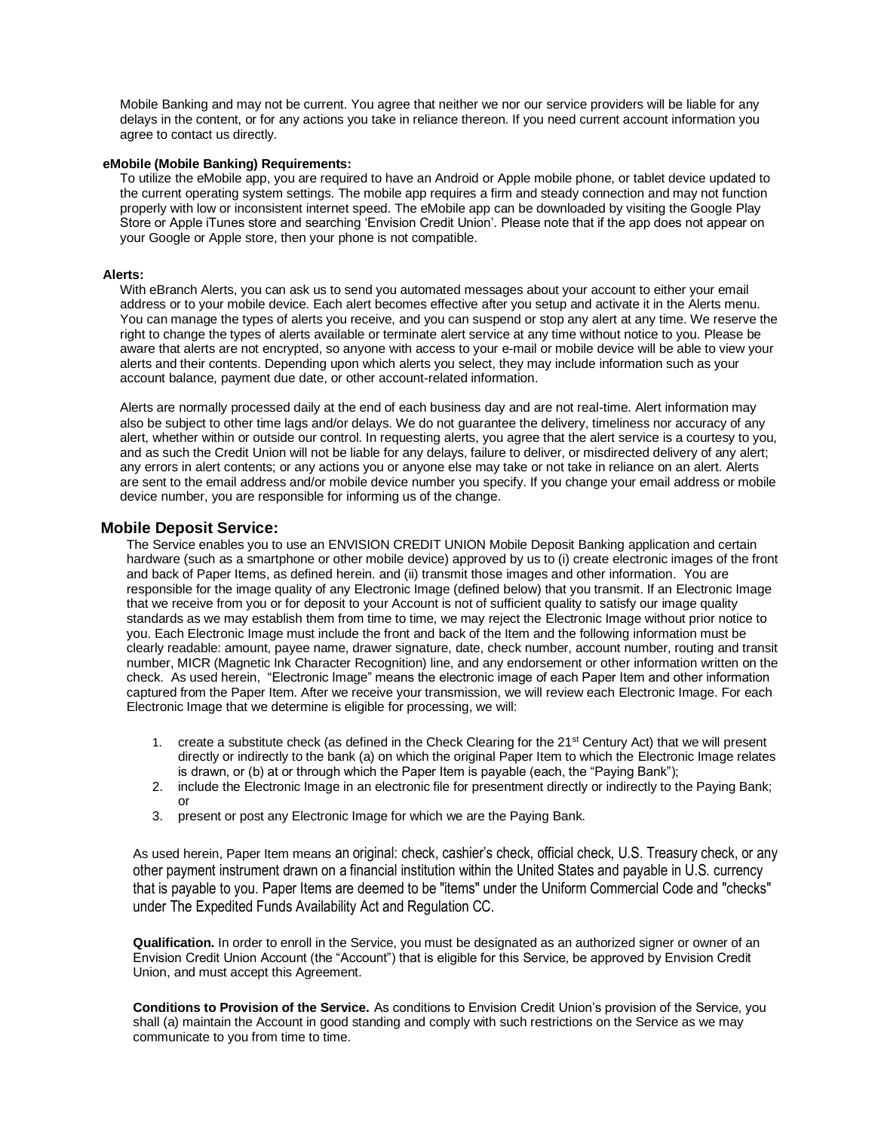Mobile Banking and may not be current. You agree that neither we nor our service providers will be liable for any delays in the content, or for any actions you take in reliance thereon. If you need current account information you agree to contact us directly.

### **eMobile (Mobile Banking) Requirements:**

To utilize the eMobile app, you are required to have an Android or Apple mobile phone, or tablet device updated to the current operating system settings. The mobile app requires a firm and steady connection and may not function properly with low or inconsistent internet speed. The eMobile app can be downloaded by visiting the Google Play Store or Apple iTunes store and searching 'Envision Credit Union'. Please note that if the app does not appear on your Google or Apple store, then your phone is not compatible.

#### **Alerts:**

With eBranch Alerts, you can ask us to send you automated messages about your account to either your email address or to your mobile device. Each alert becomes effective after you setup and activate it in the Alerts menu. You can manage the types of alerts you receive, and you can suspend or stop any alert at any time. We reserve the right to change the types of alerts available or terminate alert service at any time without notice to you. Please be aware that alerts are not encrypted, so anyone with access to your e-mail or mobile device will be able to view your alerts and their contents. Depending upon which alerts you select, they may include information such as your account balance, payment due date, or other account-related information.

Alerts are normally processed daily at the end of each business day and are not real-time. Alert information may also be subject to other time lags and/or delays. We do not guarantee the delivery, timeliness nor accuracy of any alert, whether within or outside our control. In requesting alerts, you agree that the alert service is a courtesy to you, and as such the Credit Union will not be liable for any delays, failure to deliver, or misdirected delivery of any alert; any errors in alert contents; or any actions you or anyone else may take or not take in reliance on an alert. Alerts are sent to the email address and/or mobile device number you specify. If you change your email address or mobile device number, you are responsible for informing us of the change.

#### **Mobile Deposit Service:**

The Service enables you to use an ENVISION CREDIT UNION Mobile Deposit Banking application and certain hardware (such as a smartphone or other mobile device) approved by us to (i) create electronic images of the front and back of Paper Items, as defined herein. and (ii) transmit those images and other information. You are responsible for the image quality of any Electronic Image (defined below) that you transmit. If an Electronic Image that we receive from you or for deposit to your Account is not of sufficient quality to satisfy our image quality standards as we may establish them from time to time, we may reject the Electronic Image without prior notice to you. Each Electronic Image must include the front and back of the Item and the following information must be clearly readable: amount, payee name, drawer signature, date, check number, account number, routing and transit number, MICR (Magnetic Ink Character Recognition) line, and any endorsement or other information written on the check. As used herein, "Electronic Image" means the electronic image of each Paper Item and other information captured from the Paper Item. After we receive your transmission, we will review each Electronic Image. For each Electronic Image that we determine is eligible for processing, we will:

- 1. create a substitute check (as defined in the Check Clearing for the 21st Century Act) that we will present directly or indirectly to the bank (a) on which the original Paper Item to which the Electronic Image relates is drawn, or (b) at or through which the Paper Item is payable (each, the "Paying Bank");
- 2. include the Electronic Image in an electronic file for presentment directly or indirectly to the Paying Bank; or
- 3. present or post any Electronic Image for which we are the Paying Bank.

As used herein, Paper Item means an original: check, cashier's check, official check, U.S. Treasury check, or any other payment instrument drawn on a financial institution within the United States and payable in U.S. currency that is payable to you. Paper Items are deemed to be "items" under the Uniform Commercial Code and "checks" under The Expedited Funds Availability Act and Regulation CC.

**Qualification.** In order to enroll in the Service, you must be designated as an authorized signer or owner of an Envision Credit Union Account (the "Account") that is eligible for this Service, be approved by Envision Credit Union, and must accept this Agreement.

**Conditions to Provision of the Service.** As conditions to Envision Credit Union's provision of the Service, you shall (a) maintain the Account in good standing and comply with such restrictions on the Service as we may communicate to you from time to time.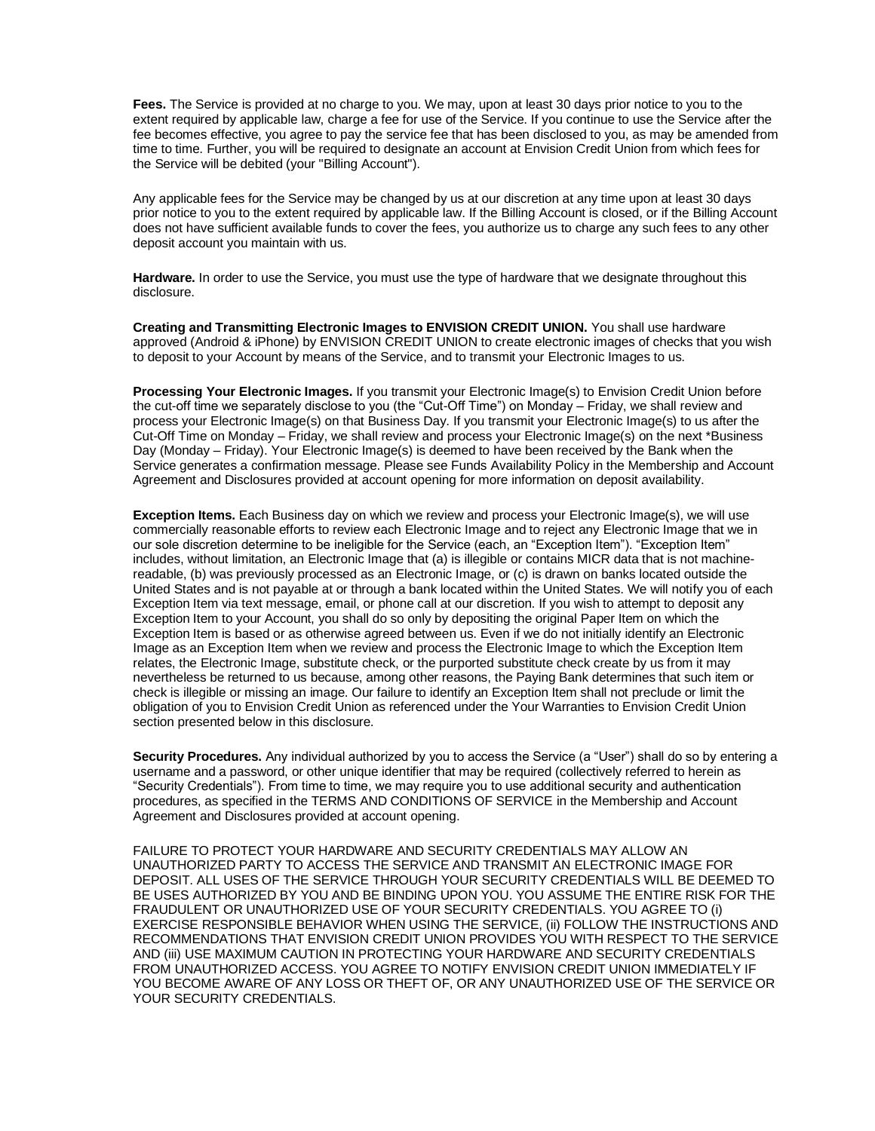**Fees.** The Service is provided at no charge to you. We may, upon at least 30 days prior notice to you to the extent required by applicable law, charge a fee for use of the Service. If you continue to use the Service after the fee becomes effective, you agree to pay the service fee that has been disclosed to you, as may be amended from time to time. Further, you will be required to designate an account at Envision Credit Union from which fees for the Service will be debited (your "Billing Account").

Any applicable fees for the Service may be changed by us at our discretion at any time upon at least 30 days prior notice to you to the extent required by applicable law. If the Billing Account is closed, or if the Billing Account does not have sufficient available funds to cover the fees, you authorize us to charge any such fees to any other deposit account you maintain with us.

**Hardware.** In order to use the Service, you must use the type of hardware that we designate throughout this disclosure.

**Creating and Transmitting Electronic Images to ENVISION CREDIT UNION.** You shall use hardware approved (Android & iPhone) by ENVISION CREDIT UNION to create electronic images of checks that you wish to deposit to your Account by means of the Service, and to transmit your Electronic Images to us.

**Processing Your Electronic Images.** If you transmit your Electronic Image(s) to Envision Credit Union before the cut-off time we separately disclose to you (the "Cut-Off Time") on Monday – Friday, we shall review and process your Electronic Image(s) on that Business Day. If you transmit your Electronic Image(s) to us after the Cut-Off Time on Monday – Friday, we shall review and process your Electronic Image(s) on the next \*Business Day (Monday – Friday). Your Electronic Image(s) is deemed to have been received by the Bank when the Service generates a confirmation message. Please see Funds Availability Policy in the Membership and Account Agreement and Disclosures provided at account opening for more information on deposit availability.

**Exception Items.** Each Business day on which we review and process your Electronic Image(s), we will use commercially reasonable efforts to review each Electronic Image and to reject any Electronic Image that we in our sole discretion determine to be ineligible for the Service (each, an "Exception Item"). "Exception Item" includes, without limitation, an Electronic Image that (a) is illegible or contains MICR data that is not machinereadable, (b) was previously processed as an Electronic Image, or (c) is drawn on banks located outside the United States and is not payable at or through a bank located within the United States. We will notify you of each Exception Item via text message, email, or phone call at our discretion. If you wish to attempt to deposit any Exception Item to your Account, you shall do so only by depositing the original Paper Item on which the Exception Item is based or as otherwise agreed between us. Even if we do not initially identify an Electronic Image as an Exception Item when we review and process the Electronic Image to which the Exception Item relates, the Electronic Image, substitute check, or the purported substitute check create by us from it may nevertheless be returned to us because, among other reasons, the Paying Bank determines that such item or check is illegible or missing an image. Our failure to identify an Exception Item shall not preclude or limit the obligation of you to Envision Credit Union as referenced under the Your Warranties to Envision Credit Union section presented below in this disclosure.

**Security Procedures.** Any individual authorized by you to access the Service (a "User") shall do so by entering a username and a password, or other unique identifier that may be required (collectively referred to herein as "Security Credentials"). From time to time, we may require you to use additional security and authentication procedures, as specified in the TERMS AND CONDITIONS OF SERVICE in the Membership and Account Agreement and Disclosures provided at account opening.

FAILURE TO PROTECT YOUR HARDWARE AND SECURITY CREDENTIALS MAY ALLOW AN UNAUTHORIZED PARTY TO ACCESS THE SERVICE AND TRANSMIT AN ELECTRONIC IMAGE FOR DEPOSIT. ALL USES OF THE SERVICE THROUGH YOUR SECURITY CREDENTIALS WILL BE DEEMED TO BE USES AUTHORIZED BY YOU AND BE BINDING UPON YOU. YOU ASSUME THE ENTIRE RISK FOR THE FRAUDULENT OR UNAUTHORIZED USE OF YOUR SECURITY CREDENTIALS. YOU AGREE TO (i) EXERCISE RESPONSIBLE BEHAVIOR WHEN USING THE SERVICE, (ii) FOLLOW THE INSTRUCTIONS AND RECOMMENDATIONS THAT ENVISION CREDIT UNION PROVIDES YOU WITH RESPECT TO THE SERVICE AND (iii) USE MAXIMUM CAUTION IN PROTECTING YOUR HARDWARE AND SECURITY CREDENTIALS FROM UNAUTHORIZED ACCESS. YOU AGREE TO NOTIFY ENVISION CREDIT UNION IMMEDIATELY IF YOU BECOME AWARE OF ANY LOSS OR THEFT OF, OR ANY UNAUTHORIZED USE OF THE SERVICE OR YOUR SECURITY CREDENTIALS.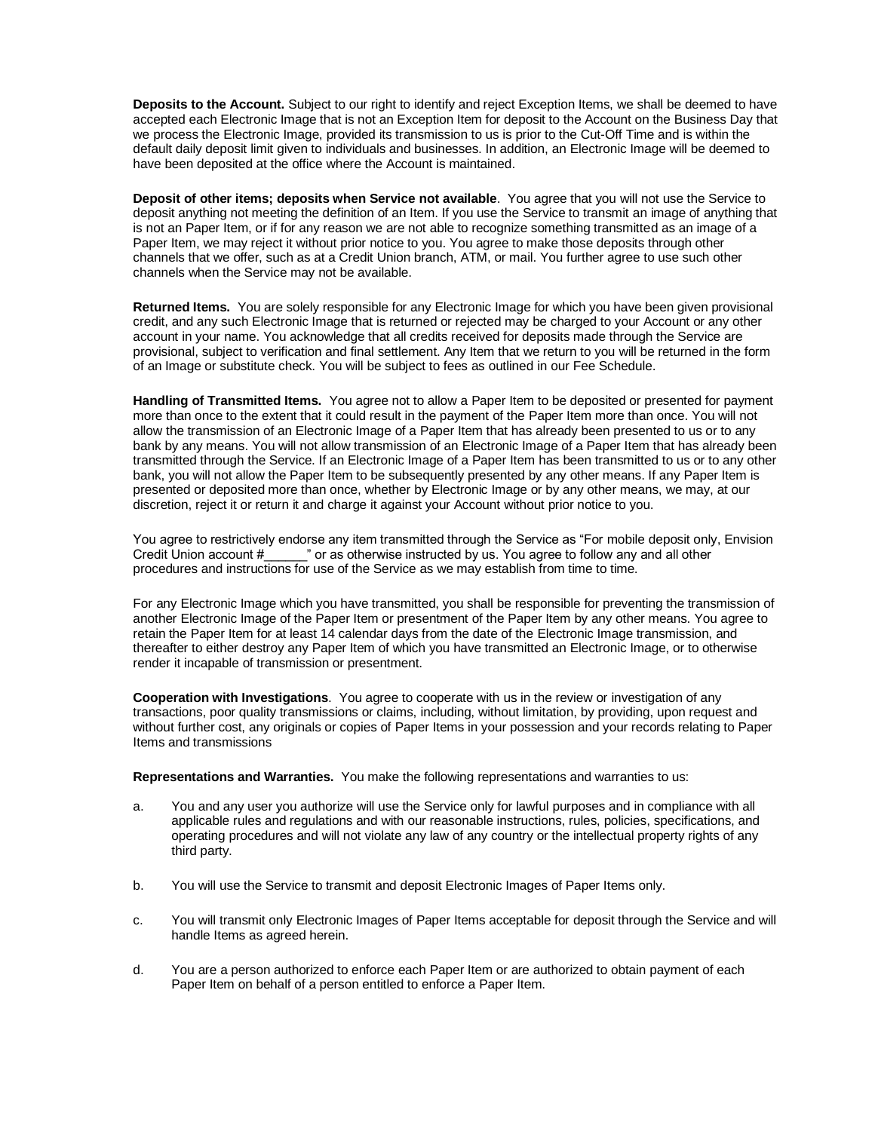**Deposits to the Account.** Subject to our right to identify and reject Exception Items, we shall be deemed to have accepted each Electronic Image that is not an Exception Item for deposit to the Account on the Business Day that we process the Electronic Image, provided its transmission to us is prior to the Cut-Off Time and is within the default daily deposit limit given to individuals and businesses. In addition, an Electronic Image will be deemed to have been deposited at the office where the Account is maintained.

**Deposit of other items; deposits when Service not available**. You agree that you will not use the Service to deposit anything not meeting the definition of an Item. If you use the Service to transmit an image of anything that is not an Paper Item, or if for any reason we are not able to recognize something transmitted as an image of a Paper Item, we may reject it without prior notice to you. You agree to make those deposits through other channels that we offer, such as at a Credit Union branch, ATM, or mail. You further agree to use such other channels when the Service may not be available.

**Returned Items.** You are solely responsible for any Electronic Image for which you have been given provisional credit, and any such Electronic Image that is returned or rejected may be charged to your Account or any other account in your name. You acknowledge that all credits received for deposits made through the Service are provisional, subject to verification and final settlement. Any Item that we return to you will be returned in the form of an Image or substitute check. You will be subject to fees as outlined in our Fee Schedule.

**Handling of Transmitted Items.** You agree not to allow a Paper Item to be deposited or presented for payment more than once to the extent that it could result in the payment of the Paper Item more than once. You will not allow the transmission of an Electronic Image of a Paper Item that has already been presented to us or to any bank by any means. You will not allow transmission of an Electronic Image of a Paper Item that has already been transmitted through the Service. If an Electronic Image of a Paper Item has been transmitted to us or to any other bank, you will not allow the Paper Item to be subsequently presented by any other means. If any Paper Item is presented or deposited more than once, whether by Electronic Image or by any other means, we may, at our discretion, reject it or return it and charge it against your Account without prior notice to you.

You agree to restrictively endorse any item transmitted through the Service as "For mobile deposit only, Envision Credit Union account #\_\_\_\_\_\_" or as otherwise instructed by us. You agree to follow any and all other procedures and instructions for use of the Service as we may establish from time to time.

For any Electronic Image which you have transmitted, you shall be responsible for preventing the transmission of another Electronic Image of the Paper Item or presentment of the Paper Item by any other means. You agree to retain the Paper Item for at least 14 calendar days from the date of the Electronic Image transmission, and thereafter to either destroy any Paper Item of which you have transmitted an Electronic Image, or to otherwise render it incapable of transmission or presentment.

**Cooperation with Investigations**. You agree to cooperate with us in the review or investigation of any transactions, poor quality transmissions or claims, including, without limitation, by providing, upon request and without further cost, any originals or copies of Paper Items in your possession and your records relating to Paper Items and transmissions

**Representations and Warranties.** You make the following representations and warranties to us:

- a. You and any user you authorize will use the Service only for lawful purposes and in compliance with all applicable rules and regulations and with our reasonable instructions, rules, policies, specifications, and operating procedures and will not violate any law of any country or the intellectual property rights of any third party.
- b. You will use the Service to transmit and deposit Electronic Images of Paper Items only.
- c. You will transmit only Electronic Images of Paper Items acceptable for deposit through the Service and will handle Items as agreed herein.
- d. You are a person authorized to enforce each Paper Item or are authorized to obtain payment of each Paper Item on behalf of a person entitled to enforce a Paper Item.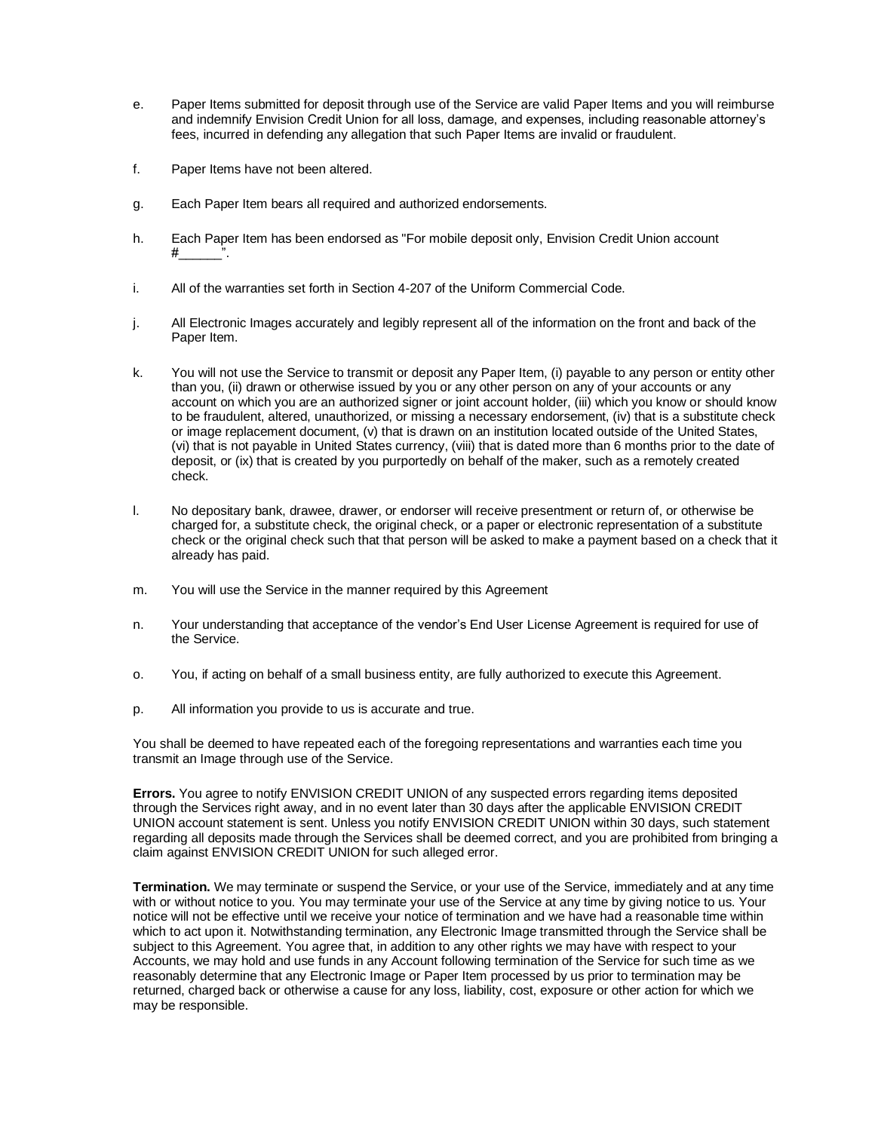- e. Paper Items submitted for deposit through use of the Service are valid Paper Items and you will reimburse and indemnify Envision Credit Union for all loss, damage, and expenses, including reasonable attorney's fees, incurred in defending any allegation that such Paper Items are invalid or fraudulent.
- f. Paper Items have not been altered.
- g. Each Paper Item bears all required and authorized endorsements.
- h. Each Paper Item has been endorsed as "For mobile deposit only, Envision Credit Union account #\_\_\_\_\_\_".
- i. All of the warranties set forth in Section 4-207 of the Uniform Commercial Code.
- j. All Electronic Images accurately and legibly represent all of the information on the front and back of the Paper Item.
- k. You will not use the Service to transmit or deposit any Paper Item, (i) payable to any person or entity other than you, (ii) drawn or otherwise issued by you or any other person on any of your accounts or any account on which you are an authorized signer or joint account holder, (iii) which you know or should know to be fraudulent, altered, unauthorized, or missing a necessary endorsement, (iv) that is a substitute check or image replacement document, (v) that is drawn on an institution located outside of the United States, (vi) that is not payable in United States currency, (viii) that is dated more than 6 months prior to the date of deposit, or (ix) that is created by you purportedly on behalf of the maker, such as a remotely created check.
- l. No depositary bank, drawee, drawer, or endorser will receive presentment or return of, or otherwise be charged for, a substitute check, the original check, or a paper or electronic representation of a substitute check or the original check such that that person will be asked to make a payment based on a check that it already has paid.
- m. You will use the Service in the manner required by this Agreement
- n. Your understanding that acceptance of the vendor's End User License Agreement is required for use of the Service.
- o. You, if acting on behalf of a small business entity, are fully authorized to execute this Agreement.
- p. All information you provide to us is accurate and true.

You shall be deemed to have repeated each of the foregoing representations and warranties each time you transmit an Image through use of the Service.

**Errors.** You agree to notify ENVISION CREDIT UNION of any suspected errors regarding items deposited through the Services right away, and in no event later than 30 days after the applicable ENVISION CREDIT UNION account statement is sent. Unless you notify ENVISION CREDIT UNION within 30 days, such statement regarding all deposits made through the Services shall be deemed correct, and you are prohibited from bringing a claim against ENVISION CREDIT UNION for such alleged error.

**Termination.** We may terminate or suspend the Service, or your use of the Service, immediately and at any time with or without notice to you. You may terminate your use of the Service at any time by giving notice to us. Your notice will not be effective until we receive your notice of termination and we have had a reasonable time within which to act upon it. Notwithstanding termination, any Electronic Image transmitted through the Service shall be subject to this Agreement. You agree that, in addition to any other rights we may have with respect to your Accounts, we may hold and use funds in any Account following termination of the Service for such time as we reasonably determine that any Electronic Image or Paper Item processed by us prior to termination may be returned, charged back or otherwise a cause for any loss, liability, cost, exposure or other action for which we may be responsible.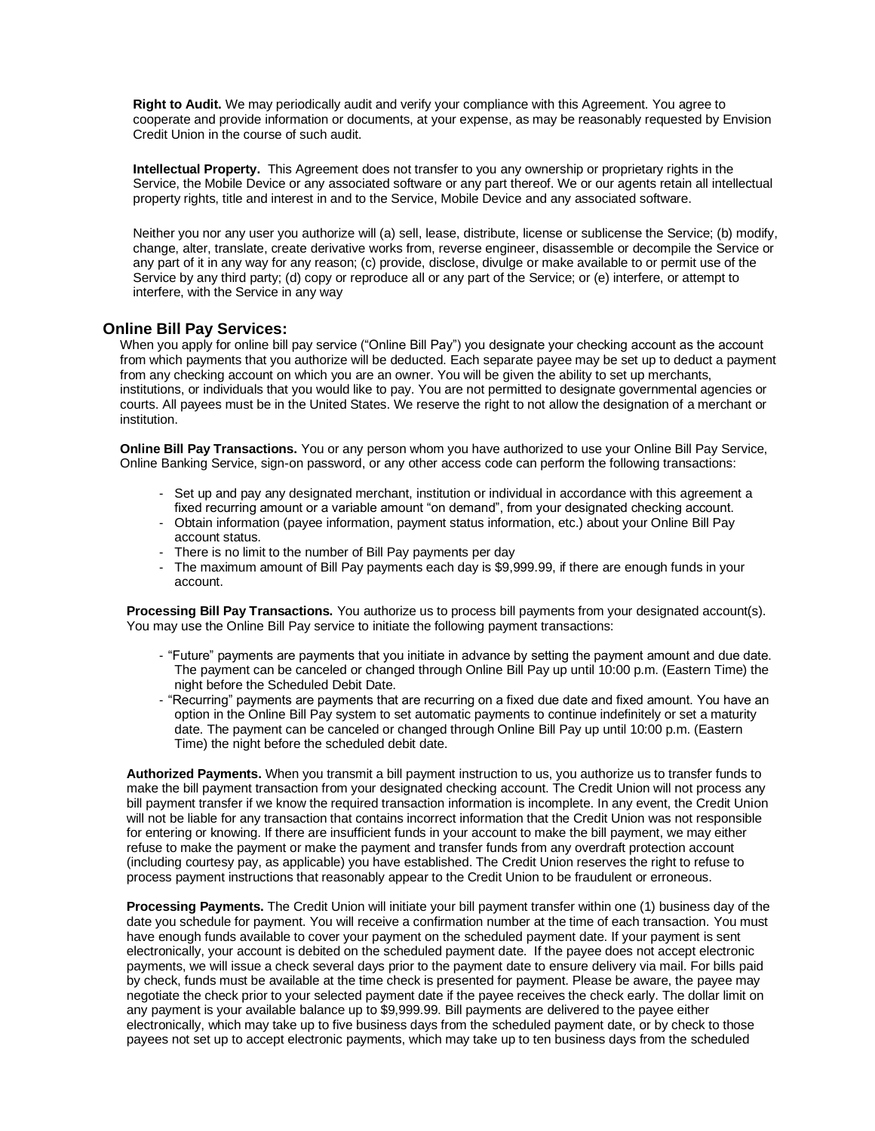**Right to Audit.** We may periodically audit and verify your compliance with this Agreement. You agree to cooperate and provide information or documents, at your expense, as may be reasonably requested by Envision Credit Union in the course of such audit.

**Intellectual Property.** This Agreement does not transfer to you any ownership or proprietary rights in the Service, the Mobile Device or any associated software or any part thereof. We or our agents retain all intellectual property rights, title and interest in and to the Service, Mobile Device and any associated software.

Neither you nor any user you authorize will (a) sell, lease, distribute, license or sublicense the Service; (b) modify, change, alter, translate, create derivative works from, reverse engineer, disassemble or decompile the Service or any part of it in any way for any reason; (c) provide, disclose, divulge or make available to or permit use of the Service by any third party; (d) copy or reproduce all or any part of the Service; or (e) interfere, or attempt to interfere, with the Service in any way

# **Online Bill Pay Services:**

When you apply for online bill pay service ("Online Bill Pay") you designate your checking account as the account from which payments that you authorize will be deducted. Each separate payee may be set up to deduct a payment from any checking account on which you are an owner. You will be given the ability to set up merchants, institutions, or individuals that you would like to pay. You are not permitted to designate governmental agencies or courts. All payees must be in the United States. We reserve the right to not allow the designation of a merchant or institution.

**Online Bill Pay Transactions.** You or any person whom you have authorized to use your Online Bill Pay Service, Online Banking Service, sign-on password, or any other access code can perform the following transactions:

- Set up and pay any designated merchant, institution or individual in accordance with this agreement a fixed recurring amount or a variable amount "on demand", from your designated checking account.
- Obtain information (payee information, payment status information, etc.) about your Online Bill Pay account status.
- There is no limit to the number of Bill Pay payments per day
- The maximum amount of Bill Pay payments each day is \$9,999.99, if there are enough funds in your account.

**Processing Bill Pay Transactions.** You authorize us to process bill payments from your designated account(s). You may use the Online Bill Pay service to initiate the following payment transactions:

- "Future" payments are payments that you initiate in advance by setting the payment amount and due date. The payment can be canceled or changed through Online Bill Pay up until 10:00 p.m. (Eastern Time) the night before the Scheduled Debit Date.
- "Recurring" payments are payments that are recurring on a fixed due date and fixed amount. You have an option in the Online Bill Pay system to set automatic payments to continue indefinitely or set a maturity date. The payment can be canceled or changed through Online Bill Pay up until 10:00 p.m. (Eastern Time) the night before the scheduled debit date.

**Authorized Payments.** When you transmit a bill payment instruction to us, you authorize us to transfer funds to make the bill payment transaction from your designated checking account. The Credit Union will not process any bill payment transfer if we know the required transaction information is incomplete. In any event, the Credit Union will not be liable for any transaction that contains incorrect information that the Credit Union was not responsible for entering or knowing. If there are insufficient funds in your account to make the bill payment, we may either refuse to make the payment or make the payment and transfer funds from any overdraft protection account (including courtesy pay, as applicable) you have established. The Credit Union reserves the right to refuse to process payment instructions that reasonably appear to the Credit Union to be fraudulent or erroneous.

**Processing Payments.** The Credit Union will initiate your bill payment transfer within one (1) business day of the date you schedule for payment. You will receive a confirmation number at the time of each transaction. You must have enough funds available to cover your payment on the scheduled payment date. If your payment is sent electronically, your account is debited on the scheduled payment date. If the payee does not accept electronic payments, we will issue a check several days prior to the payment date to ensure delivery via mail. For bills paid by check, funds must be available at the time check is presented for payment. Please be aware, the payee may negotiate the check prior to your selected payment date if the payee receives the check early. The dollar limit on any payment is your available balance up to \$9,999.99. Bill payments are delivered to the payee either electronically, which may take up to five business days from the scheduled payment date, or by check to those payees not set up to accept electronic payments, which may take up to ten business days from the scheduled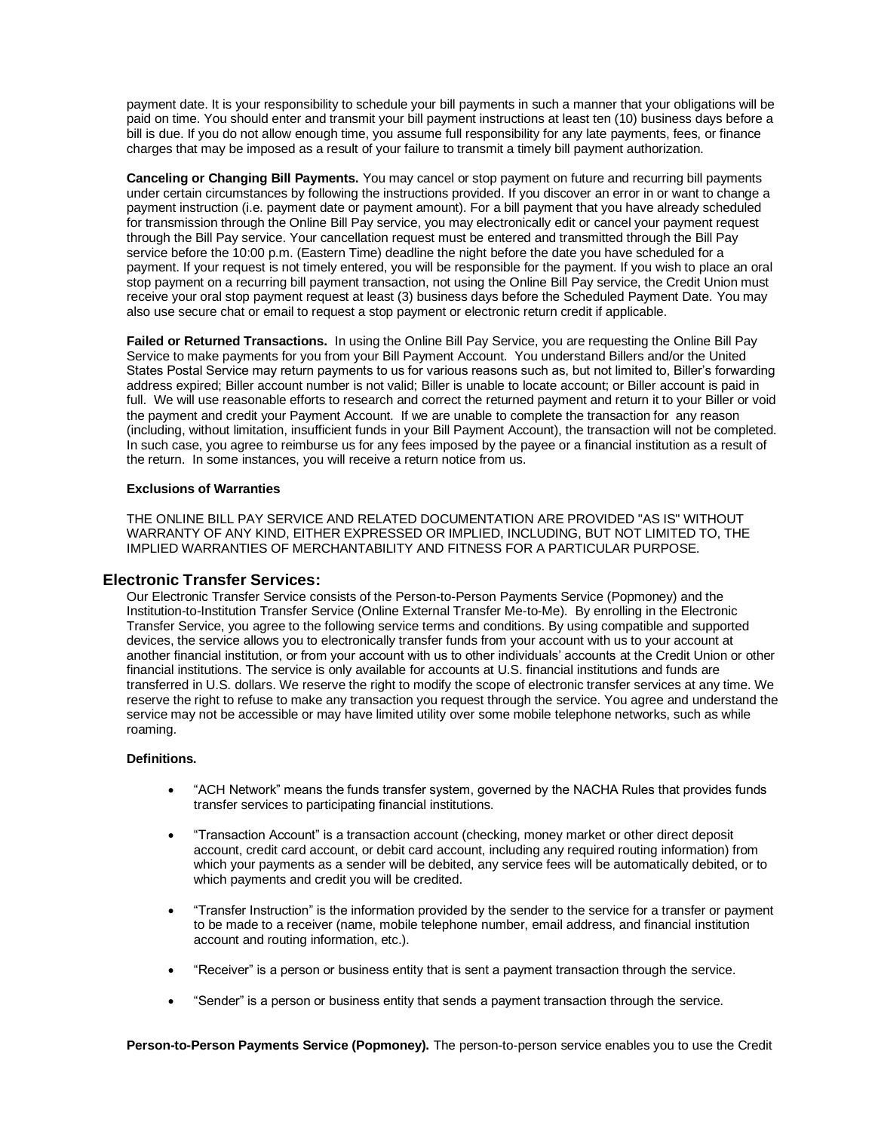payment date. It is your responsibility to schedule your bill payments in such a manner that your obligations will be paid on time. You should enter and transmit your bill payment instructions at least ten (10) business days before a bill is due. If you do not allow enough time, you assume full responsibility for any late payments, fees, or finance charges that may be imposed as a result of your failure to transmit a timely bill payment authorization.

**Canceling or Changing Bill Payments.** You may cancel or stop payment on future and recurring bill payments under certain circumstances by following the instructions provided. If you discover an error in or want to change a payment instruction (i.e. payment date or payment amount). For a bill payment that you have already scheduled for transmission through the Online Bill Pay service, you may electronically edit or cancel your payment request through the Bill Pay service. Your cancellation request must be entered and transmitted through the Bill Pay service before the 10:00 p.m. (Eastern Time) deadline the night before the date you have scheduled for a payment. If your request is not timely entered, you will be responsible for the payment. If you wish to place an oral stop payment on a recurring bill payment transaction, not using the Online Bill Pay service, the Credit Union must receive your oral stop payment request at least (3) business days before the Scheduled Payment Date. You may also use secure chat or email to request a stop payment or electronic return credit if applicable.

**Failed or Returned Transactions.** In using the Online Bill Pay Service, you are requesting the Online Bill Pay Service to make payments for you from your Bill Payment Account. You understand Billers and/or the United States Postal Service may return payments to us for various reasons such as, but not limited to, Biller's forwarding address expired; Biller account number is not valid; Biller is unable to locate account; or Biller account is paid in full. We will use reasonable efforts to research and correct the returned payment and return it to your Biller or void the payment and credit your Payment Account. If we are unable to complete the transaction for any reason (including, without limitation, insufficient funds in your Bill Payment Account), the transaction will not be completed. In such case, you agree to reimburse us for any fees imposed by the payee or a financial institution as a result of the return. In some instances, you will receive a return notice from us.

### **Exclusions of Warranties**

THE ONLINE BILL PAY SERVICE AND RELATED DOCUMENTATION ARE PROVIDED "AS IS" WITHOUT WARRANTY OF ANY KIND, EITHER EXPRESSED OR IMPLIED, INCLUDING, BUT NOT LIMITED TO, THE IMPLIED WARRANTIES OF MERCHANTABILITY AND FITNESS FOR A PARTICULAR PURPOSE.

### **Electronic Transfer Services:**

Our Electronic Transfer Service consists of the Person-to-Person Payments Service (Popmoney) and the Institution-to-Institution Transfer Service (Online External Transfer Me-to-Me). By enrolling in the Electronic Transfer Service, you agree to the following service terms and conditions. By using compatible and supported devices, the service allows you to electronically transfer funds from your account with us to your account at another financial institution, or from your account with us to other individuals' accounts at the Credit Union or other financial institutions. The service is only available for accounts at U.S. financial institutions and funds are transferred in U.S. dollars. We reserve the right to modify the scope of electronic transfer services at any time. We reserve the right to refuse to make any transaction you request through the service. You agree and understand the service may not be accessible or may have limited utility over some mobile telephone networks, such as while roaming.

#### **Definitions.**

- "ACH Network" means the funds transfer system, governed by the NACHA Rules that provides funds transfer services to participating financial institutions.
- "Transaction Account" is a transaction account (checking, money market or other direct deposit account, credit card account, or debit card account, including any required routing information) from which your payments as a sender will be debited, any service fees will be automatically debited, or to which payments and credit you will be credited.
- "Transfer Instruction" is the information provided by the sender to the service for a transfer or payment to be made to a receiver (name, mobile telephone number, email address, and financial institution account and routing information, etc.).
- "Receiver" is a person or business entity that is sent a payment transaction through the service.
- "Sender" is a person or business entity that sends a payment transaction through the service.

**Person-to-Person Payments Service (Popmoney).** The person-to-person service enables you to use the Credit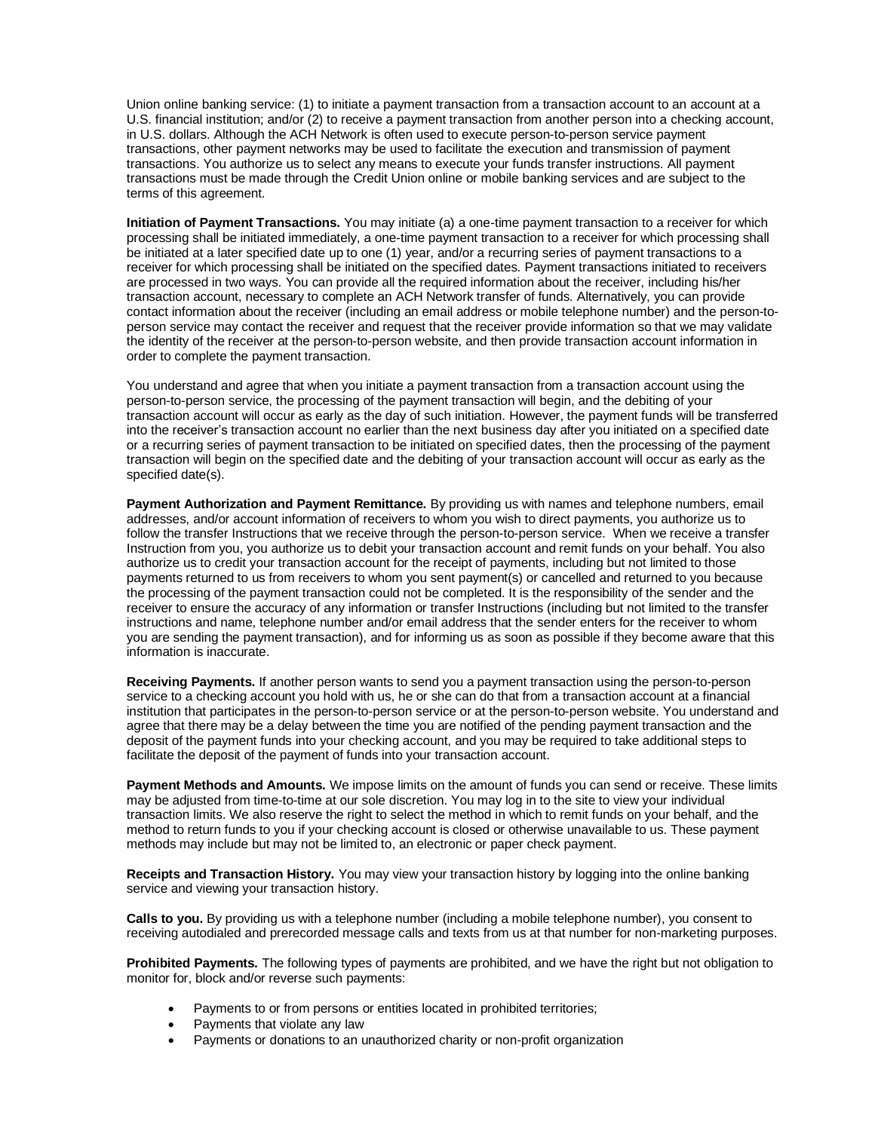Union online banking service: (1) to initiate a payment transaction from a transaction account to an account at a U.S. financial institution; and/or (2) to receive a payment transaction from another person into a checking account, in U.S. dollars. Although the ACH Network is often used to execute person-to-person service payment transactions, other payment networks may be used to facilitate the execution and transmission of payment transactions. You authorize us to select any means to execute your funds transfer instructions. All payment transactions must be made through the Credit Union online or mobile banking services and are subject to the terms of this agreement.

**Initiation of Payment Transactions.** You may initiate (a) a one-time payment transaction to a receiver for which processing shall be initiated immediately, a one-time payment transaction to a receiver for which processing shall be initiated at a later specified date up to one (1) year, and/or a recurring series of payment transactions to a receiver for which processing shall be initiated on the specified dates. Payment transactions initiated to receivers are processed in two ways. You can provide all the required information about the receiver, including his/her transaction account, necessary to complete an ACH Network transfer of funds. Alternatively, you can provide contact information about the receiver (including an email address or mobile telephone number) and the person-toperson service may contact the receiver and request that the receiver provide information so that we may validate the identity of the receiver at the person-to-person website, and then provide transaction account information in order to complete the payment transaction.

You understand and agree that when you initiate a payment transaction from a transaction account using the person-to-person service, the processing of the payment transaction will begin, and the debiting of your transaction account will occur as early as the day of such initiation. However, the payment funds will be transferred into the receiver's transaction account no earlier than the next business day after you initiated on a specified date or a recurring series of payment transaction to be initiated on specified dates, then the processing of the payment transaction will begin on the specified date and the debiting of your transaction account will occur as early as the specified date(s).

**Payment Authorization and Payment Remittance.** By providing us with names and telephone numbers, email addresses, and/or account information of receivers to whom you wish to direct payments, you authorize us to follow the transfer Instructions that we receive through the person-to-person service. When we receive a transfer Instruction from you, you authorize us to debit your transaction account and remit funds on your behalf. You also authorize us to credit your transaction account for the receipt of payments, including but not limited to those payments returned to us from receivers to whom you sent payment(s) or cancelled and returned to you because the processing of the payment transaction could not be completed. It is the responsibility of the sender and the receiver to ensure the accuracy of any information or transfer Instructions (including but not limited to the transfer instructions and name, telephone number and/or email address that the sender enters for the receiver to whom you are sending the payment transaction), and for informing us as soon as possible if they become aware that this information is inaccurate.

**Receiving Payments.** If another person wants to send you a payment transaction using the person-to-person service to a checking account you hold with us, he or she can do that from a transaction account at a financial institution that participates in the person-to-person service or at the person-to-person website. You understand and agree that there may be a delay between the time you are notified of the pending payment transaction and the deposit of the payment funds into your checking account, and you may be required to take additional steps to facilitate the deposit of the payment of funds into your transaction account.

**Payment Methods and Amounts.** We impose limits on the amount of funds you can send or receive. These limits may be adjusted from time-to-time at our sole discretion. You may log in to the site to view your individual transaction limits. We also reserve the right to select the method in which to remit funds on your behalf, and the method to return funds to you if your checking account is closed or otherwise unavailable to us. These payment methods may include but may not be limited to, an electronic or paper check payment.

**Receipts and Transaction History.** You may view your transaction history by logging into the online banking service and viewing your transaction history.

**Calls to you.** By providing us with a telephone number (including a mobile telephone number), you consent to receiving autodialed and prerecorded message calls and texts from us at that number for non-marketing purposes.

**Prohibited Payments.** The following types of payments are prohibited, and we have the right but not obligation to monitor for, block and/or reverse such payments:

- Payments to or from persons or entities located in prohibited territories;
- Payments that violate any law
- Payments or donations to an unauthorized charity or non-profit organization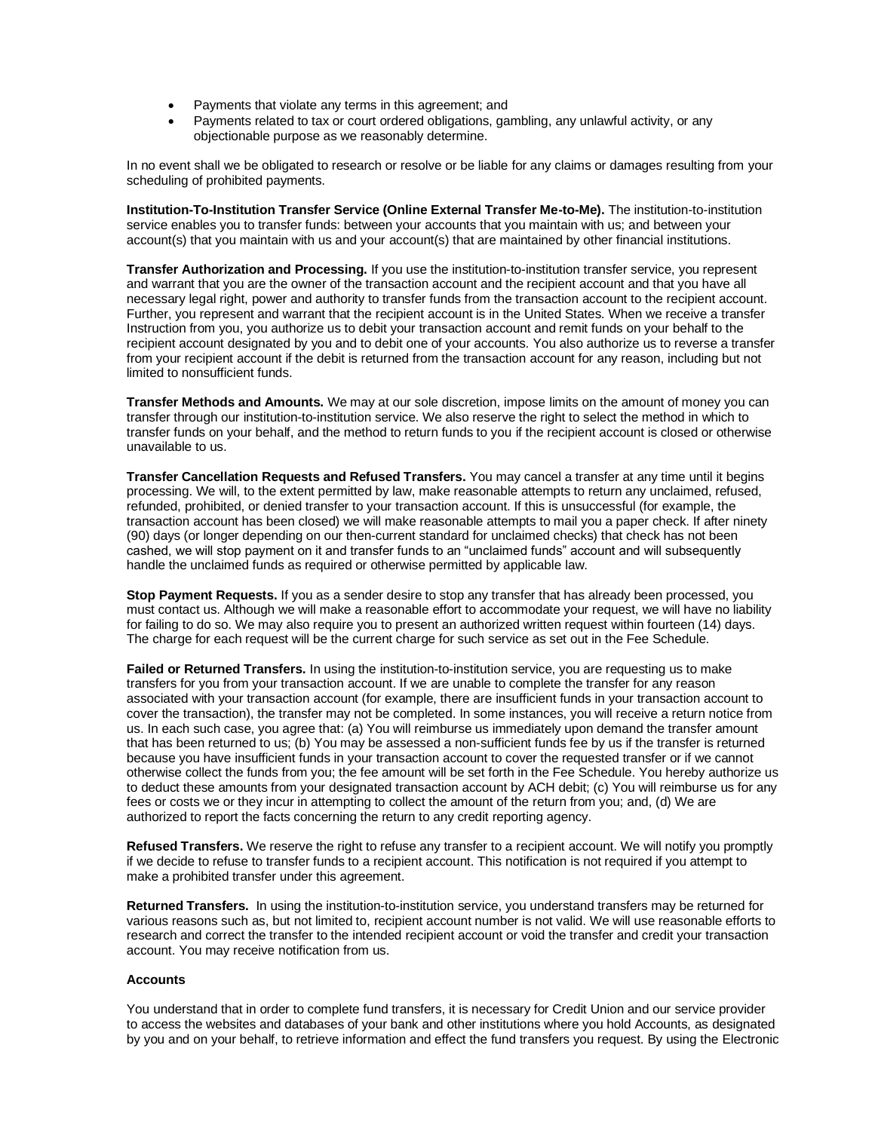- Payments that violate any terms in this agreement; and
- Payments related to tax or court ordered obligations, gambling, any unlawful activity, or any objectionable purpose as we reasonably determine.

In no event shall we be obligated to research or resolve or be liable for any claims or damages resulting from your scheduling of prohibited payments.

**Institution-To-Institution Transfer Service (Online External Transfer Me-to-Me).** The institution-to-institution service enables you to transfer funds: between your accounts that you maintain with us; and between your account(s) that you maintain with us and your account(s) that are maintained by other financial institutions.

**Transfer Authorization and Processing.** If you use the institution-to-institution transfer service, you represent and warrant that you are the owner of the transaction account and the recipient account and that you have all necessary legal right, power and authority to transfer funds from the transaction account to the recipient account. Further, you represent and warrant that the recipient account is in the United States. When we receive a transfer Instruction from you, you authorize us to debit your transaction account and remit funds on your behalf to the recipient account designated by you and to debit one of your accounts. You also authorize us to reverse a transfer from your recipient account if the debit is returned from the transaction account for any reason, including but not limited to nonsufficient funds.

**Transfer Methods and Amounts.** We may at our sole discretion, impose limits on the amount of money you can transfer through our institution-to-institution service. We also reserve the right to select the method in which to transfer funds on your behalf, and the method to return funds to you if the recipient account is closed or otherwise unavailable to us.

**Transfer Cancellation Requests and Refused Transfers.** You may cancel a transfer at any time until it begins processing. We will, to the extent permitted by law, make reasonable attempts to return any unclaimed, refused, refunded, prohibited, or denied transfer to your transaction account. If this is unsuccessful (for example, the transaction account has been closed) we will make reasonable attempts to mail you a paper check. If after ninety (90) days (or longer depending on our then-current standard for unclaimed checks) that check has not been cashed, we will stop payment on it and transfer funds to an "unclaimed funds" account and will subsequently handle the unclaimed funds as required or otherwise permitted by applicable law.

**Stop Payment Requests.** If you as a sender desire to stop any transfer that has already been processed, you must contact us. Although we will make a reasonable effort to accommodate your request, we will have no liability for failing to do so. We may also require you to present an authorized written request within fourteen (14) days. The charge for each request will be the current charge for such service as set out in the Fee Schedule.

**Failed or Returned Transfers.** In using the institution-to-institution service, you are requesting us to make transfers for you from your transaction account. If we are unable to complete the transfer for any reason associated with your transaction account (for example, there are insufficient funds in your transaction account to cover the transaction), the transfer may not be completed. In some instances, you will receive a return notice from us. In each such case, you agree that: (a) You will reimburse us immediately upon demand the transfer amount that has been returned to us; (b) You may be assessed a non-sufficient funds fee by us if the transfer is returned because you have insufficient funds in your transaction account to cover the requested transfer or if we cannot otherwise collect the funds from you; the fee amount will be set forth in the Fee Schedule. You hereby authorize us to deduct these amounts from your designated transaction account by ACH debit; (c) You will reimburse us for any fees or costs we or they incur in attempting to collect the amount of the return from you; and, (d) We are authorized to report the facts concerning the return to any credit reporting agency.

**Refused Transfers.** We reserve the right to refuse any transfer to a recipient account. We will notify you promptly if we decide to refuse to transfer funds to a recipient account. This notification is not required if you attempt to make a prohibited transfer under this agreement.

**Returned Transfers.** In using the institution-to-institution service, you understand transfers may be returned for various reasons such as, but not limited to, recipient account number is not valid. We will use reasonable efforts to research and correct the transfer to the intended recipient account or void the transfer and credit your transaction account. You may receive notification from us.

### **Accounts**

You understand that in order to complete fund transfers, it is necessary for Credit Union and our service provider to access the websites and databases of your bank and other institutions where you hold Accounts, as designated by you and on your behalf, to retrieve information and effect the fund transfers you request. By using the Electronic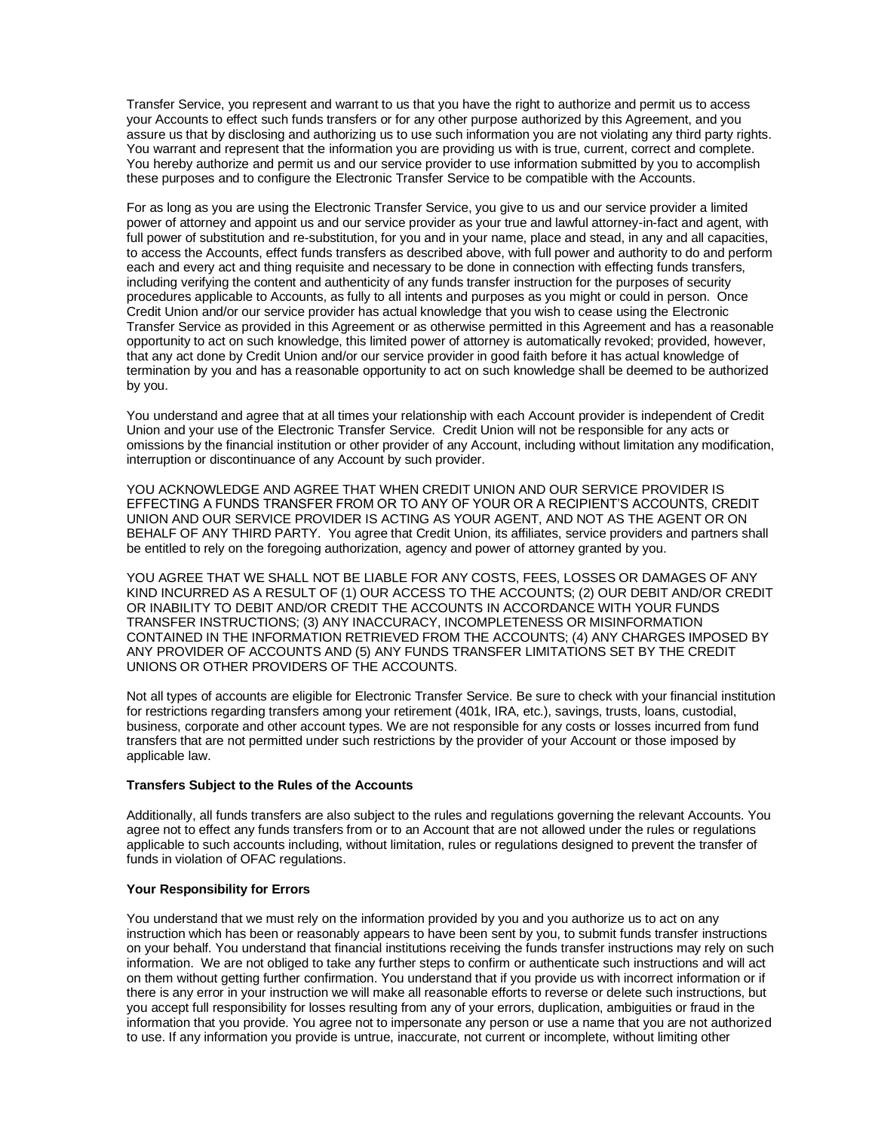Transfer Service, you represent and warrant to us that you have the right to authorize and permit us to access your Accounts to effect such funds transfers or for any other purpose authorized by this Agreement, and you assure us that by disclosing and authorizing us to use such information you are not violating any third party rights. You warrant and represent that the information you are providing us with is true, current, correct and complete. You hereby authorize and permit us and our service provider to use information submitted by you to accomplish these purposes and to configure the Electronic Transfer Service to be compatible with the Accounts.

For as long as you are using the Electronic Transfer Service, you give to us and our service provider a limited power of attorney and appoint us and our service provider as your true and lawful attorney-in-fact and agent, with full power of substitution and re-substitution, for you and in your name, place and stead, in any and all capacities, to access the Accounts, effect funds transfers as described above, with full power and authority to do and perform each and every act and thing requisite and necessary to be done in connection with effecting funds transfers, including verifying the content and authenticity of any funds transfer instruction for the purposes of security procedures applicable to Accounts, as fully to all intents and purposes as you might or could in person. Once Credit Union and/or our service provider has actual knowledge that you wish to cease using the Electronic Transfer Service as provided in this Agreement or as otherwise permitted in this Agreement and has a reasonable opportunity to act on such knowledge, this limited power of attorney is automatically revoked; provided, however, that any act done by Credit Union and/or our service provider in good faith before it has actual knowledge of termination by you and has a reasonable opportunity to act on such knowledge shall be deemed to be authorized by you.

You understand and agree that at all times your relationship with each Account provider is independent of Credit Union and your use of the Electronic Transfer Service. Credit Union will not be responsible for any acts or omissions by the financial institution or other provider of any Account, including without limitation any modification, interruption or discontinuance of any Account by such provider.

YOU ACKNOWLEDGE AND AGREE THAT WHEN CREDIT UNION AND OUR SERVICE PROVIDER IS EFFECTING A FUNDS TRANSFER FROM OR TO ANY OF YOUR OR A RECIPIENT'S ACCOUNTS, CREDIT UNION AND OUR SERVICE PROVIDER IS ACTING AS YOUR AGENT, AND NOT AS THE AGENT OR ON BEHALF OF ANY THIRD PARTY. You agree that Credit Union, its affiliates, service providers and partners shall be entitled to rely on the foregoing authorization, agency and power of attorney granted by you.

YOU AGREE THAT WE SHALL NOT BE LIABLE FOR ANY COSTS, FEES, LOSSES OR DAMAGES OF ANY KIND INCURRED AS A RESULT OF (1) OUR ACCESS TO THE ACCOUNTS; (2) OUR DEBIT AND/OR CREDIT OR INABILITY TO DEBIT AND/OR CREDIT THE ACCOUNTS IN ACCORDANCE WITH YOUR FUNDS TRANSFER INSTRUCTIONS; (3) ANY INACCURACY, INCOMPLETENESS OR MISINFORMATION CONTAINED IN THE INFORMATION RETRIEVED FROM THE ACCOUNTS; (4) ANY CHARGES IMPOSED BY ANY PROVIDER OF ACCOUNTS AND (5) ANY FUNDS TRANSFER LIMITATIONS SET BY THE CREDIT UNIONS OR OTHER PROVIDERS OF THE ACCOUNTS.

Not all types of accounts are eligible for Electronic Transfer Service. Be sure to check with your financial institution for restrictions regarding transfers among your retirement (401k, IRA, etc.), savings, trusts, loans, custodial, business, corporate and other account types. We are not responsible for any costs or losses incurred from fund transfers that are not permitted under such restrictions by the provider of your Account or those imposed by applicable law.

### **Transfers Subject to the Rules of the Accounts**

Additionally, all funds transfers are also subject to the rules and regulations governing the relevant Accounts. You agree not to effect any funds transfers from or to an Account that are not allowed under the rules or regulations applicable to such accounts including, without limitation, rules or regulations designed to prevent the transfer of funds in violation of OFAC regulations.

#### **Your Responsibility for Errors**

You understand that we must rely on the information provided by you and you authorize us to act on any instruction which has been or reasonably appears to have been sent by you, to submit funds transfer instructions on your behalf. You understand that financial institutions receiving the funds transfer instructions may rely on such information. We are not obliged to take any further steps to confirm or authenticate such instructions and will act on them without getting further confirmation. You understand that if you provide us with incorrect information or if there is any error in your instruction we will make all reasonable efforts to reverse or delete such instructions, but you accept full responsibility for losses resulting from any of your errors, duplication, ambiguities or fraud in the information that you provide. You agree not to impersonate any person or use a name that you are not authorized to use. If any information you provide is untrue, inaccurate, not current or incomplete, without limiting other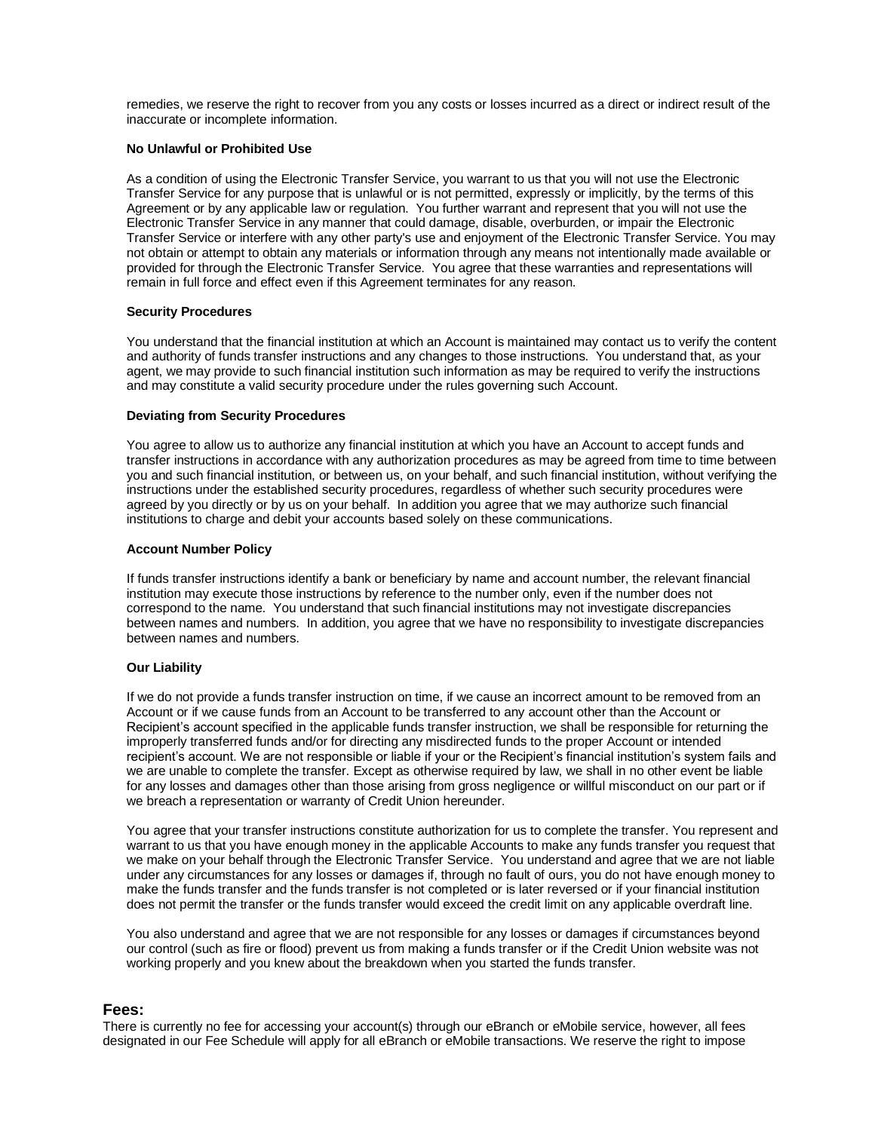remedies, we reserve the right to recover from you any costs or losses incurred as a direct or indirect result of the inaccurate or incomplete information.

#### **No Unlawful or Prohibited Use**

As a condition of using the Electronic Transfer Service, you warrant to us that you will not use the Electronic Transfer Service for any purpose that is unlawful or is not permitted, expressly or implicitly, by the terms of this Agreement or by any applicable law or regulation. You further warrant and represent that you will not use the Electronic Transfer Service in any manner that could damage, disable, overburden, or impair the Electronic Transfer Service or interfere with any other party's use and enjoyment of the Electronic Transfer Service. You may not obtain or attempt to obtain any materials or information through any means not intentionally made available or provided for through the Electronic Transfer Service. You agree that these warranties and representations will remain in full force and effect even if this Agreement terminates for any reason.

#### **Security Procedures**

You understand that the financial institution at which an Account is maintained may contact us to verify the content and authority of funds transfer instructions and any changes to those instructions. You understand that, as your agent, we may provide to such financial institution such information as may be required to verify the instructions and may constitute a valid security procedure under the rules governing such Account.

#### **Deviating from Security Procedures**

You agree to allow us to authorize any financial institution at which you have an Account to accept funds and transfer instructions in accordance with any authorization procedures as may be agreed from time to time between you and such financial institution, or between us, on your behalf, and such financial institution, without verifying the instructions under the established security procedures, regardless of whether such security procedures were agreed by you directly or by us on your behalf. In addition you agree that we may authorize such financial institutions to charge and debit your accounts based solely on these communications.

#### **Account Number Policy**

If funds transfer instructions identify a bank or beneficiary by name and account number, the relevant financial institution may execute those instructions by reference to the number only, even if the number does not correspond to the name. You understand that such financial institutions may not investigate discrepancies between names and numbers. In addition, you agree that we have no responsibility to investigate discrepancies between names and numbers.

### **Our Liability**

If we do not provide a funds transfer instruction on time, if we cause an incorrect amount to be removed from an Account or if we cause funds from an Account to be transferred to any account other than the Account or Recipient's account specified in the applicable funds transfer instruction, we shall be responsible for returning the improperly transferred funds and/or for directing any misdirected funds to the proper Account or intended recipient's account. We are not responsible or liable if your or the Recipient's financial institution's system fails and we are unable to complete the transfer. Except as otherwise required by law, we shall in no other event be liable for any losses and damages other than those arising from gross negligence or willful misconduct on our part or if we breach a representation or warranty of Credit Union hereunder.

You agree that your transfer instructions constitute authorization for us to complete the transfer. You represent and warrant to us that you have enough money in the applicable Accounts to make any funds transfer you request that we make on your behalf through the Electronic Transfer Service. You understand and agree that we are not liable under any circumstances for any losses or damages if, through no fault of ours, you do not have enough money to make the funds transfer and the funds transfer is not completed or is later reversed or if your financial institution does not permit the transfer or the funds transfer would exceed the credit limit on any applicable overdraft line.

You also understand and agree that we are not responsible for any losses or damages if circumstances beyond our control (such as fire or flood) prevent us from making a funds transfer or if the Credit Union website was not working properly and you knew about the breakdown when you started the funds transfer.

### **Fees:**

There is currently no fee for accessing your account(s) through our eBranch or eMobile service, however, all fees designated in our Fee Schedule will apply for all eBranch or eMobile transactions. We reserve the right to impose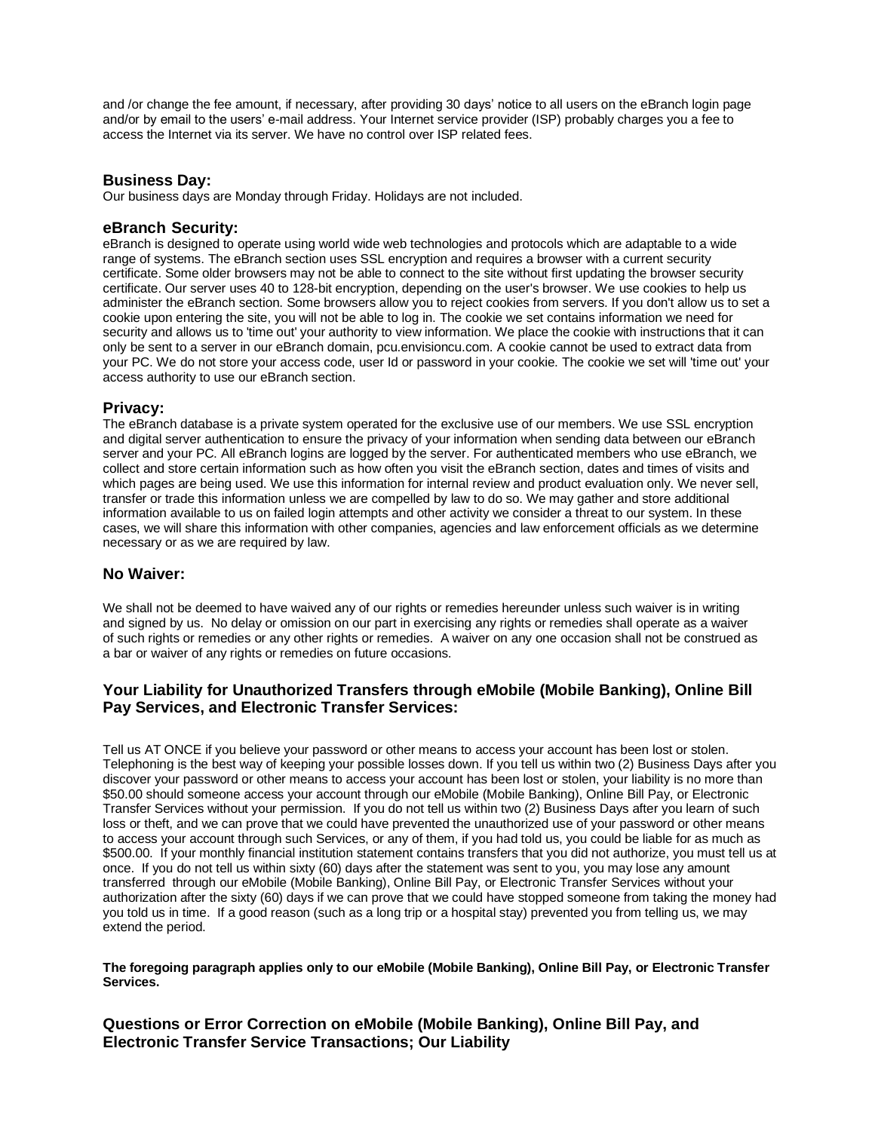and /or change the fee amount, if necessary, after providing 30 days' notice to all users on the eBranch login page and/or by email to the users' e-mail address. Your Internet service provider (ISP) probably charges you a fee to access the Internet via its server. We have no control over ISP related fees.

# **Business Day:**

Our business days are Monday through Friday. Holidays are not included.

### **eBranch Security:**

eBranch is designed to operate using world wide web technologies and protocols which are adaptable to a wide range of systems. The eBranch section uses SSL encryption and requires a browser with a current security certificate. Some older browsers may not be able to connect to the site without first updating the browser security certificate. Our server uses 40 to 128-bit encryption, depending on the user's browser. We use cookies to help us administer the eBranch section. Some browsers allow you to reject cookies from servers. If you don't allow us to set a cookie upon entering the site, you will not be able to log in. The cookie we set contains information we need for security and allows us to 'time out' your authority to view information. We place the cookie with instructions that it can only be sent to a server in our eBranch domain, pcu.envisioncu.com. A cookie cannot be used to extract data from your PC. We do not store your access code, user Id or password in your cookie. The cookie we set will 'time out' your access authority to use our eBranch section.

### **Privacy:**

The eBranch database is a private system operated for the exclusive use of our members. We use SSL encryption and digital server authentication to ensure the privacy of your information when sending data between our eBranch server and your PC. All eBranch logins are logged by the server. For authenticated members who use eBranch, we collect and store certain information such as how often you visit the eBranch section, dates and times of visits and which pages are being used. We use this information for internal review and product evaluation only. We never sell, transfer or trade this information unless we are compelled by law to do so. We may gather and store additional information available to us on failed login attempts and other activity we consider a threat to our system. In these cases, we will share this information with other companies, agencies and law enforcement officials as we determine necessary or as we are required by law.

### **No Waiver:**

We shall not be deemed to have waived any of our rights or remedies hereunder unless such waiver is in writing and signed by us. No delay or omission on our part in exercising any rights or remedies shall operate as a waiver of such rights or remedies or any other rights or remedies. A waiver on any one occasion shall not be construed as a bar or waiver of any rights or remedies on future occasions.

# **Your Liability for Unauthorized Transfers through eMobile (Mobile Banking), Online Bill Pay Services, and Electronic Transfer Services:**

Tell us AT ONCE if you believe your password or other means to access your account has been lost or stolen. Telephoning is the best way of keeping your possible losses down. If you tell us within two (2) Business Days after you discover your password or other means to access your account has been lost or stolen, your liability is no more than \$50.00 should someone access your account through our eMobile (Mobile Banking), Online Bill Pay, or Electronic Transfer Services without your permission. If you do not tell us within two (2) Business Days after you learn of such loss or theft, and we can prove that we could have prevented the unauthorized use of your password or other means to access your account through such Services, or any of them, if you had told us, you could be liable for as much as \$500.00. If your monthly financial institution statement contains transfers that you did not authorize, you must tell us at once. If you do not tell us within sixty (60) days after the statement was sent to you, you may lose any amount transferred through our eMobile (Mobile Banking), Online Bill Pay, or Electronic Transfer Services without your authorization after the sixty (60) days if we can prove that we could have stopped someone from taking the money had you told us in time. If a good reason (such as a long trip or a hospital stay) prevented you from telling us, we may extend the period.

**The foregoing paragraph applies only to our eMobile (Mobile Banking), Online Bill Pay, or Electronic Transfer Services.**

**Questions or Error Correction on eMobile (Mobile Banking), Online Bill Pay, and Electronic Transfer Service Transactions; Our Liability**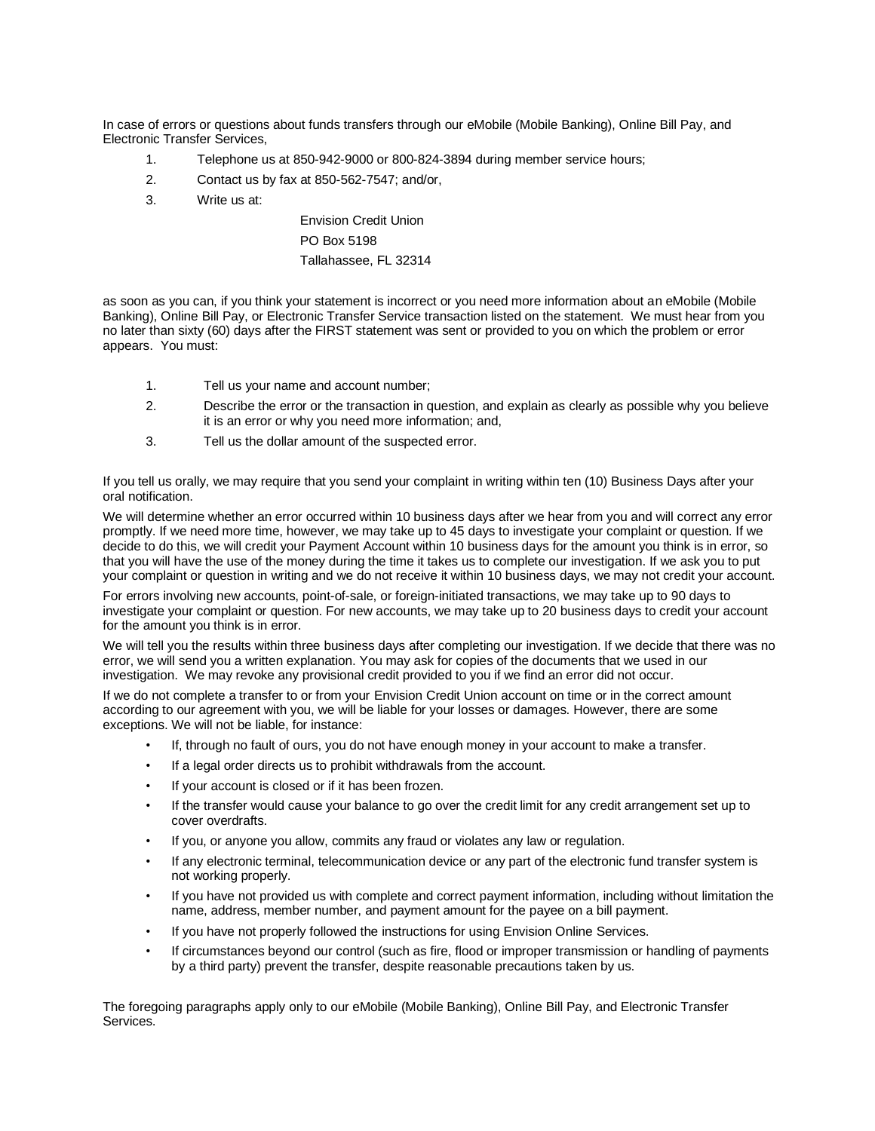In case of errors or questions about funds transfers through our eMobile (Mobile Banking), Online Bill Pay, and Electronic Transfer Services,

- 1. Telephone us at 850-942-9000 or 800-824-3894 during member service hours;
- 2. Contact us by fax at 850-562-7547; and/or,
- 3. Write us at:

Envision Credit Union PO Box 5198 Tallahassee, FL 32314

as soon as you can, if you think your statement is incorrect or you need more information about an eMobile (Mobile Banking), Online Bill Pay, or Electronic Transfer Service transaction listed on the statement. We must hear from you no later than sixty (60) days after the FIRST statement was sent or provided to you on which the problem or error appears. You must:

- 1. Tell us your name and account number;
- 2. Describe the error or the transaction in question, and explain as clearly as possible why you believe it is an error or why you need more information; and,
- 3. Tell us the dollar amount of the suspected error.

If you tell us orally, we may require that you send your complaint in writing within ten (10) Business Days after your oral notification.

We will determine whether an error occurred within 10 business days after we hear from you and will correct any error promptly. If we need more time, however, we may take up to 45 days to investigate your complaint or question. If we decide to do this, we will credit your Payment Account within 10 business days for the amount you think is in error, so that you will have the use of the money during the time it takes us to complete our investigation. If we ask you to put your complaint or question in writing and we do not receive it within 10 business days, we may not credit your account.

For errors involving new accounts, point-of-sale, or foreign-initiated transactions, we may take up to 90 days to investigate your complaint or question. For new accounts, we may take up to 20 business days to credit your account for the amount you think is in error.

We will tell you the results within three business days after completing our investigation. If we decide that there was no error, we will send you a written explanation. You may ask for copies of the documents that we used in our investigation. We may revoke any provisional credit provided to you if we find an error did not occur.

If we do not complete a transfer to or from your Envision Credit Union account on time or in the correct amount according to our agreement with you, we will be liable for your losses or damages. However, there are some exceptions. We will not be liable, for instance:

- If, through no fault of ours, you do not have enough money in your account to make a transfer.
- If a legal order directs us to prohibit withdrawals from the account.
- If your account is closed or if it has been frozen.
- If the transfer would cause your balance to go over the credit limit for any credit arrangement set up to cover overdrafts.
- If you, or anyone you allow, commits any fraud or violates any law or regulation.
- If any electronic terminal, telecommunication device or any part of the electronic fund transfer system is not working properly.
- If you have not provided us with complete and correct payment information, including without limitation the name, address, member number, and payment amount for the payee on a bill payment.
- If you have not properly followed the instructions for using Envision Online Services.
- If circumstances beyond our control (such as fire, flood or improper transmission or handling of payments by a third party) prevent the transfer, despite reasonable precautions taken by us.

The foregoing paragraphs apply only to our eMobile (Mobile Banking), Online Bill Pay, and Electronic Transfer Services.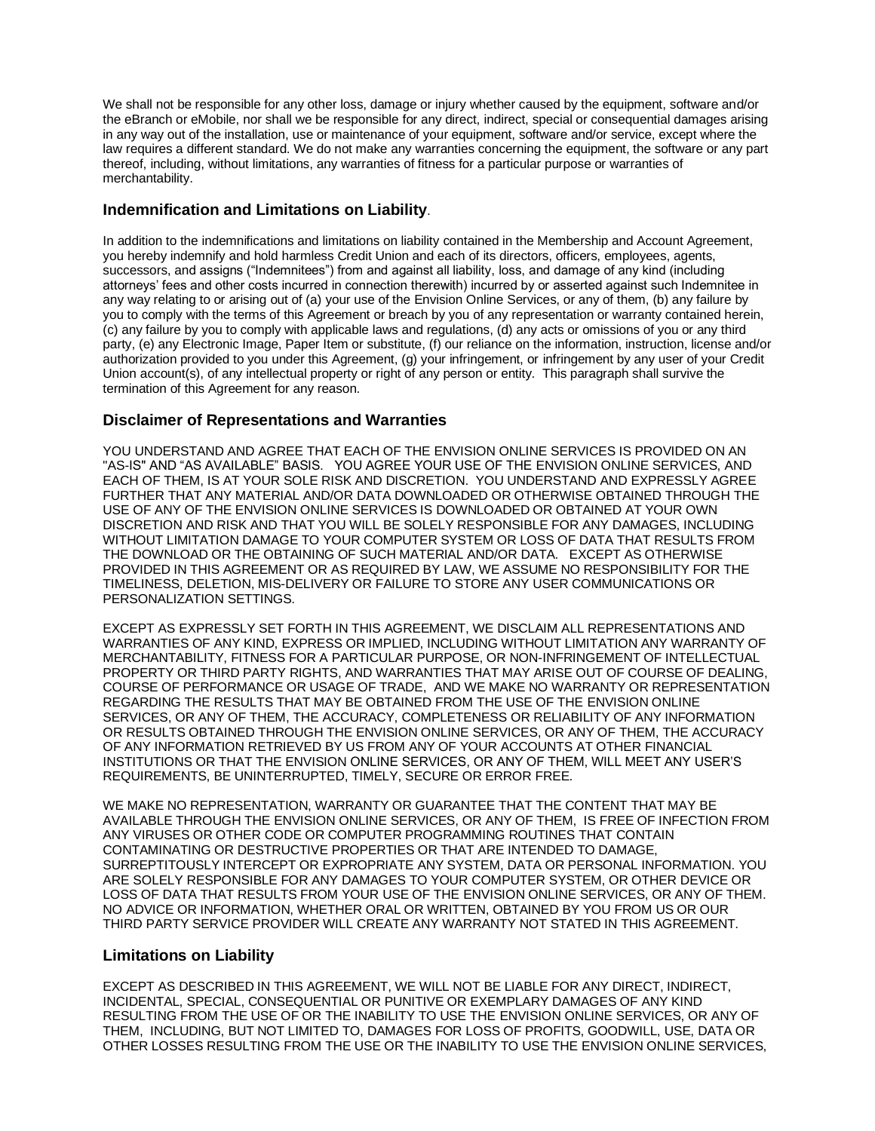We shall not be responsible for any other loss, damage or injury whether caused by the equipment, software and/or the eBranch or eMobile, nor shall we be responsible for any direct, indirect, special or consequential damages arising in any way out of the installation, use or maintenance of your equipment, software and/or service, except where the law requires a different standard. We do not make any warranties concerning the equipment, the software or any part thereof, including, without limitations, any warranties of fitness for a particular purpose or warranties of merchantability.

# **Indemnification and Limitations on Liability**.

In addition to the indemnifications and limitations on liability contained in the Membership and Account Agreement, you hereby indemnify and hold harmless Credit Union and each of its directors, officers, employees, agents, successors, and assigns ("Indemnitees") from and against all liability, loss, and damage of any kind (including attorneys' fees and other costs incurred in connection therewith) incurred by or asserted against such Indemnitee in any way relating to or arising out of (a) your use of the Envision Online Services, or any of them, (b) any failure by you to comply with the terms of this Agreement or breach by you of any representation or warranty contained herein, (c) any failure by you to comply with applicable laws and regulations, (d) any acts or omissions of you or any third party, (e) any Electronic Image, Paper Item or substitute, (f) our reliance on the information, instruction, license and/or authorization provided to you under this Agreement, (g) your infringement, or infringement by any user of your Credit Union account(s), of any intellectual property or right of any person or entity. This paragraph shall survive the termination of this Agreement for any reason.

# **Disclaimer of Representations and Warranties**

YOU UNDERSTAND AND AGREE THAT EACH OF THE ENVISION ONLINE SERVICES IS PROVIDED ON AN "AS-IS" AND "AS AVAILABLE" BASIS. YOU AGREE YOUR USE OF THE ENVISION ONLINE SERVICES, AND EACH OF THEM, IS AT YOUR SOLE RISK AND DISCRETION. YOU UNDERSTAND AND EXPRESSLY AGREE FURTHER THAT ANY MATERIAL AND/OR DATA DOWNLOADED OR OTHERWISE OBTAINED THROUGH THE USE OF ANY OF THE ENVISION ONLINE SERVICES IS DOWNLOADED OR OBTAINED AT YOUR OWN DISCRETION AND RISK AND THAT YOU WILL BE SOLELY RESPONSIBLE FOR ANY DAMAGES, INCLUDING WITHOUT LIMITATION DAMAGE TO YOUR COMPUTER SYSTEM OR LOSS OF DATA THAT RESULTS FROM THE DOWNLOAD OR THE OBTAINING OF SUCH MATERIAL AND/OR DATA. EXCEPT AS OTHERWISE PROVIDED IN THIS AGREEMENT OR AS REQUIRED BY LAW, WE ASSUME NO RESPONSIBILITY FOR THE TIMELINESS, DELETION, MIS-DELIVERY OR FAILURE TO STORE ANY USER COMMUNICATIONS OR PERSONALIZATION SETTINGS.

EXCEPT AS EXPRESSLY SET FORTH IN THIS AGREEMENT, WE DISCLAIM ALL REPRESENTATIONS AND WARRANTIES OF ANY KIND, EXPRESS OR IMPLIED, INCLUDING WITHOUT LIMITATION ANY WARRANTY OF MERCHANTABILITY, FITNESS FOR A PARTICULAR PURPOSE, OR NON-INFRINGEMENT OF INTELLECTUAL PROPERTY OR THIRD PARTY RIGHTS, AND WARRANTIES THAT MAY ARISE OUT OF COURSE OF DEALING, COURSE OF PERFORMANCE OR USAGE OF TRADE, AND WE MAKE NO WARRANTY OR REPRESENTATION REGARDING THE RESULTS THAT MAY BE OBTAINED FROM THE USE OF THE ENVISION ONLINE SERVICES, OR ANY OF THEM, THE ACCURACY, COMPLETENESS OR RELIABILITY OF ANY INFORMATION OR RESULTS OBTAINED THROUGH THE ENVISION ONLINE SERVICES, OR ANY OF THEM, THE ACCURACY OF ANY INFORMATION RETRIEVED BY US FROM ANY OF YOUR ACCOUNTS AT OTHER FINANCIAL INSTITUTIONS OR THAT THE ENVISION ONLINE SERVICES, OR ANY OF THEM, WILL MEET ANY USER'S REQUIREMENTS, BE UNINTERRUPTED, TIMELY, SECURE OR ERROR FREE.

WE MAKE NO REPRESENTATION, WARRANTY OR GUARANTEE THAT THE CONTENT THAT MAY BE AVAILABLE THROUGH THE ENVISION ONLINE SERVICES, OR ANY OF THEM, IS FREE OF INFECTION FROM ANY VIRUSES OR OTHER CODE OR COMPUTER PROGRAMMING ROUTINES THAT CONTAIN CONTAMINATING OR DESTRUCTIVE PROPERTIES OR THAT ARE INTENDED TO DAMAGE, SURREPTITOUSLY INTERCEPT OR EXPROPRIATE ANY SYSTEM, DATA OR PERSONAL INFORMATION. YOU ARE SOLELY RESPONSIBLE FOR ANY DAMAGES TO YOUR COMPUTER SYSTEM, OR OTHER DEVICE OR LOSS OF DATA THAT RESULTS FROM YOUR USE OF THE ENVISION ONLINE SERVICES, OR ANY OF THEM. NO ADVICE OR INFORMATION, WHETHER ORAL OR WRITTEN, OBTAINED BY YOU FROM US OR OUR THIRD PARTY SERVICE PROVIDER WILL CREATE ANY WARRANTY NOT STATED IN THIS AGREEMENT.

# **Limitations on Liability**

EXCEPT AS DESCRIBED IN THIS AGREEMENT, WE WILL NOT BE LIABLE FOR ANY DIRECT, INDIRECT, INCIDENTAL, SPECIAL, CONSEQUENTIAL OR PUNITIVE OR EXEMPLARY DAMAGES OF ANY KIND RESULTING FROM THE USE OF OR THE INABILITY TO USE THE ENVISION ONLINE SERVICES, OR ANY OF THEM, INCLUDING, BUT NOT LIMITED TO, DAMAGES FOR LOSS OF PROFITS, GOODWILL, USE, DATA OR OTHER LOSSES RESULTING FROM THE USE OR THE INABILITY TO USE THE ENVISION ONLINE SERVICES,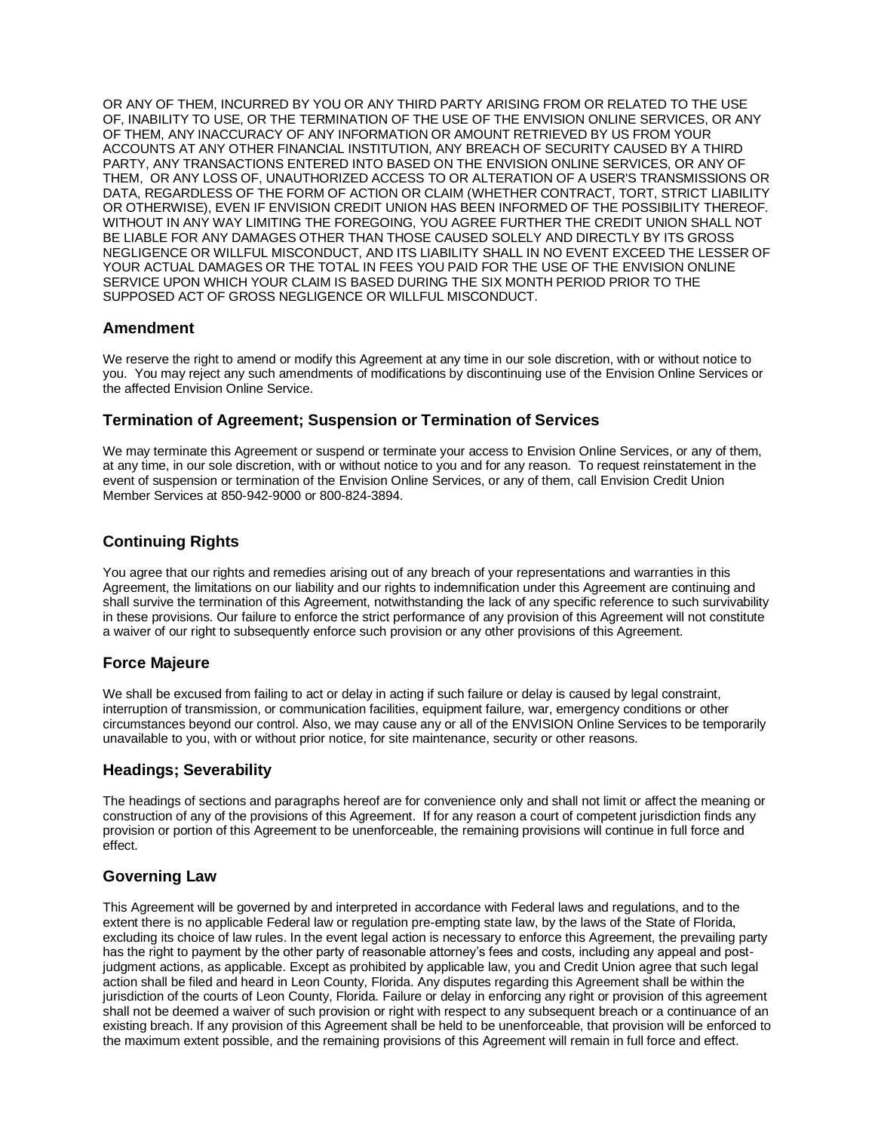OR ANY OF THEM, INCURRED BY YOU OR ANY THIRD PARTY ARISING FROM OR RELATED TO THE USE OF, INABILITY TO USE, OR THE TERMINATION OF THE USE OF THE ENVISION ONLINE SERVICES, OR ANY OF THEM, ANY INACCURACY OF ANY INFORMATION OR AMOUNT RETRIEVED BY US FROM YOUR ACCOUNTS AT ANY OTHER FINANCIAL INSTITUTION, ANY BREACH OF SECURITY CAUSED BY A THIRD PARTY, ANY TRANSACTIONS ENTERED INTO BASED ON THE ENVISION ONLINE SERVICES, OR ANY OF THEM, OR ANY LOSS OF, UNAUTHORIZED ACCESS TO OR ALTERATION OF A USER'S TRANSMISSIONS OR DATA, REGARDLESS OF THE FORM OF ACTION OR CLAIM (WHETHER CONTRACT, TORT, STRICT LIABILITY OR OTHERWISE), EVEN IF ENVISION CREDIT UNION HAS BEEN INFORMED OF THE POSSIBILITY THEREOF. WITHOUT IN ANY WAY LIMITING THE FOREGOING, YOU AGREE FURTHER THE CREDIT UNION SHALL NOT BE LIABLE FOR ANY DAMAGES OTHER THAN THOSE CAUSED SOLELY AND DIRECTLY BY ITS GROSS NEGLIGENCE OR WILLFUL MISCONDUCT, AND ITS LIABILITY SHALL IN NO EVENT EXCEED THE LESSER OF YOUR ACTUAL DAMAGES OR THE TOTAL IN FEES YOU PAID FOR THE USE OF THE ENVISION ONLINE SERVICE UPON WHICH YOUR CLAIM IS BASED DURING THE SIX MONTH PERIOD PRIOR TO THE SUPPOSED ACT OF GROSS NEGLIGENCE OR WILLFUL MISCONDUCT.

### **Amendment**

We reserve the right to amend or modify this Agreement at any time in our sole discretion, with or without notice to you. You may reject any such amendments of modifications by discontinuing use of the Envision Online Services or the affected Envision Online Service.

### **Termination of Agreement; Suspension or Termination of Services**

We may terminate this Agreement or suspend or terminate your access to Envision Online Services, or any of them, at any time, in our sole discretion, with or without notice to you and for any reason. To request reinstatement in the event of suspension or termination of the Envision Online Services, or any of them, call Envision Credit Union Member Services at 850-942-9000 or 800-824-3894.

# **Continuing Rights**

You agree that our rights and remedies arising out of any breach of your representations and warranties in this Agreement, the limitations on our liability and our rights to indemnification under this Agreement are continuing and shall survive the termination of this Agreement, notwithstanding the lack of any specific reference to such survivability in these provisions. Our failure to enforce the strict performance of any provision of this Agreement will not constitute a waiver of our right to subsequently enforce such provision or any other provisions of this Agreement.

### **Force Majeure**

We shall be excused from failing to act or delay in acting if such failure or delay is caused by legal constraint, interruption of transmission, or communication facilities, equipment failure, war, emergency conditions or other circumstances beyond our control. Also, we may cause any or all of the ENVISION Online Services to be temporarily unavailable to you, with or without prior notice, for site maintenance, security or other reasons.

# **Headings; Severability**

The headings of sections and paragraphs hereof are for convenience only and shall not limit or affect the meaning or construction of any of the provisions of this Agreement. If for any reason a court of competent jurisdiction finds any provision or portion of this Agreement to be unenforceable, the remaining provisions will continue in full force and effect.

# **Governing Law**

This Agreement will be governed by and interpreted in accordance with Federal laws and regulations, and to the extent there is no applicable Federal law or regulation pre-empting state law, by the laws of the State of Florida, excluding its choice of law rules. In the event legal action is necessary to enforce this Agreement, the prevailing party has the right to payment by the other party of reasonable attorney's fees and costs, including any appeal and postjudgment actions, as applicable. Except as prohibited by applicable law, you and Credit Union agree that such legal action shall be filed and heard in Leon County, Florida. Any disputes regarding this Agreement shall be within the jurisdiction of the courts of Leon County, Florida. Failure or delay in enforcing any right or provision of this agreement shall not be deemed a waiver of such provision or right with respect to any subsequent breach or a continuance of an existing breach. If any provision of this Agreement shall be held to be unenforceable, that provision will be enforced to the maximum extent possible, and the remaining provisions of this Agreement will remain in full force and effect.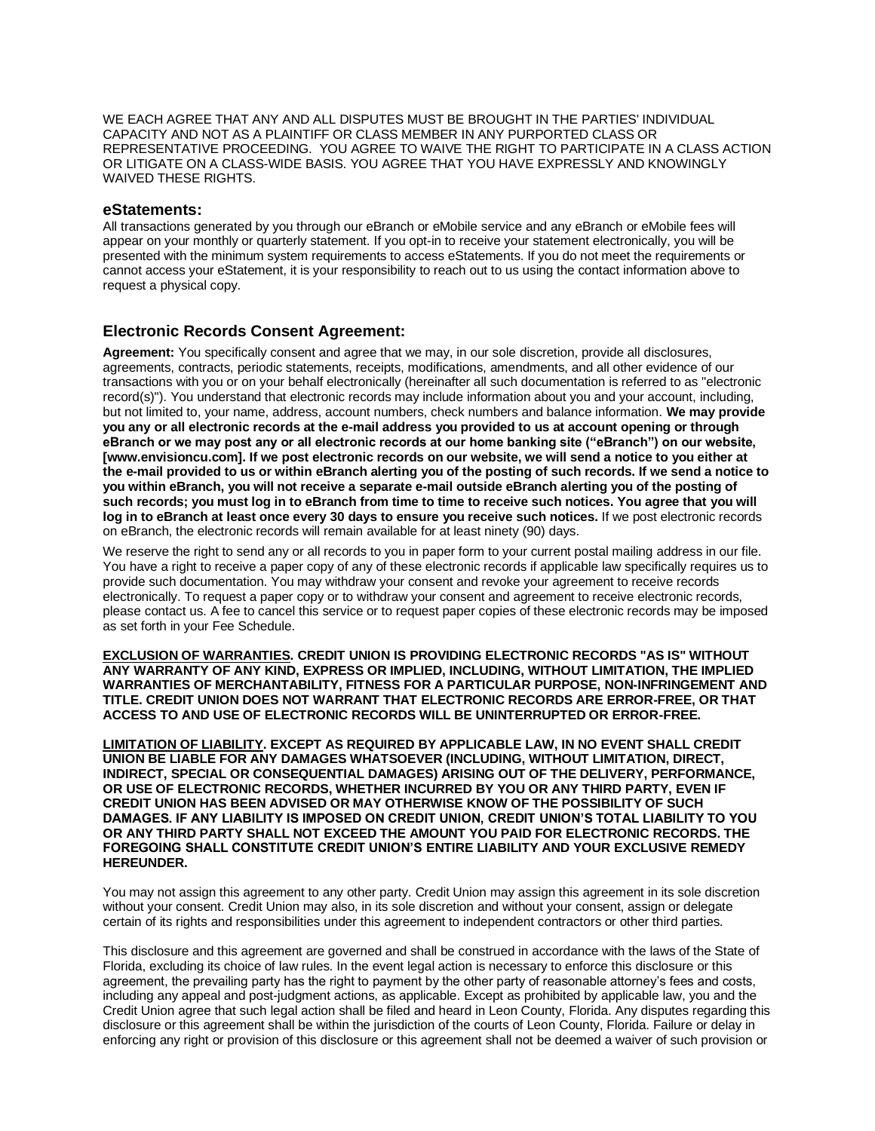WE EACH AGREE THAT ANY AND ALL DISPUTES MUST BE BROUGHT IN THE PARTIES' INDIVIDUAL CAPACITY AND NOT AS A PLAINTIFF OR CLASS MEMBER IN ANY PURPORTED CLASS OR REPRESENTATIVE PROCEEDING. YOU AGREE TO WAIVE THE RIGHT TO PARTICIPATE IN A CLASS ACTION OR LITIGATE ON A CLASS-WIDE BASIS. YOU AGREE THAT YOU HAVE EXPRESSLY AND KNOWINGLY WAIVED THESE RIGHTS.

### **eStatements:**

All transactions generated by you through our eBranch or eMobile service and any eBranch or eMobile fees will appear on your monthly or quarterly statement. If you opt-in to receive your statement electronically, you will be presented with the minimum system requirements to access eStatements. If you do not meet the requirements or cannot access your eStatement, it is your responsibility to reach out to us using the contact information above to request a physical copy.

### **Electronic Records Consent Agreement:**

**Agreement:** You specifically consent and agree that we may, in our sole discretion, provide all disclosures, agreements, contracts, periodic statements, receipts, modifications, amendments, and all other evidence of our transactions with you or on your behalf electronically (hereinafter all such documentation is referred to as "electronic record(s)"). You understand that electronic records may include information about you and your account, including, but not limited to, your name, address, account numbers, check numbers and balance information. **We may provide you any or all electronic records at the e-mail address you provided to us at account opening or through eBranch or we may post any or all electronic records at our home banking site ("eBranch") on our website, [\[www.envisioncu.com\].](http://www.envisioncu.com/) If we post electronic records on our website, we will send a notice to you either at the e-mail provided to us or within eBranch alerting you of the posting of such records. If we send a notice to you within eBranch, you will not receive a separate e-mail outside eBranch alerting you of the posting of such records; you must log in to eBranch from time to time to receive such notices. You agree that you will log in to eBranch at least once every 30 days to ensure you receive such notices.** If we post electronic records on eBranch, the electronic records will remain available for at least ninety (90) days.

We reserve the right to send any or all records to you in paper form to your current postal mailing address in our file. You have a right to receive a paper copy of any of these electronic records if applicable law specifically requires us to provide such documentation. You may withdraw your consent and revoke your agreement to receive records electronically. To request a paper copy or to withdraw your consent and agreement to receive electronic records, please contact us. A fee to cancel this service or to request paper copies of these electronic records may be imposed as set forth in your Fee Schedule.

**EXCLUSION OF WARRANTIES. CREDIT UNION IS PROVIDING ELECTRONIC RECORDS "AS IS" WITHOUT ANY WARRANTY OF ANY KIND, EXPRESS OR IMPLIED, INCLUDING, WITHOUT LIMITATION, THE IMPLIED WARRANTIES OF MERCHANTABILITY, FITNESS FOR A PARTICULAR PURPOSE, NON-INFRINGEMENT AND TITLE. CREDIT UNION DOES NOT WARRANT THAT ELECTRONIC RECORDS ARE ERROR-FREE, OR THAT ACCESS TO AND USE OF ELECTRONIC RECORDS WILL BE UNINTERRUPTED OR ERROR-FREE.** 

**LIMITATION OF LIABILITY. EXCEPT AS REQUIRED BY APPLICABLE LAW, IN NO EVENT SHALL CREDIT UNION BE LIABLE FOR ANY DAMAGES WHATSOEVER (INCLUDING, WITHOUT LIMITATION, DIRECT, INDIRECT, SPECIAL OR CONSEQUENTIAL DAMAGES) ARISING OUT OF THE DELIVERY, PERFORMANCE, OR USE OF ELECTRONIC RECORDS, WHETHER INCURRED BY YOU OR ANY THIRD PARTY, EVEN IF CREDIT UNION HAS BEEN ADVISED OR MAY OTHERWISE KNOW OF THE POSSIBILITY OF SUCH DAMAGES. IF ANY LIABILITY IS IMPOSED ON CREDIT UNION, CREDIT UNION'S TOTAL LIABILITY TO YOU OR ANY THIRD PARTY SHALL NOT EXCEED THE AMOUNT YOU PAID FOR ELECTRONIC RECORDS. THE FOREGOING SHALL CONSTITUTE CREDIT UNION'S ENTIRE LIABILITY AND YOUR EXCLUSIVE REMEDY HEREUNDER.**

You may not assign this agreement to any other party. Credit Union may assign this agreement in its sole discretion without your consent. Credit Union may also, in its sole discretion and without your consent, assign or delegate certain of its rights and responsibilities under this agreement to independent contractors or other third parties.

This disclosure and this agreement are governed and shall be construed in accordance with the laws of the State of Florida, excluding its choice of law rules. In the event legal action is necessary to enforce this disclosure or this agreement, the prevailing party has the right to payment by the other party of reasonable attorney's fees and costs, including any appeal and post-judgment actions, as applicable. Except as prohibited by applicable law, you and the Credit Union agree that such legal action shall be filed and heard in Leon County, Florida. Any disputes regarding this disclosure or this agreement shall be within the jurisdiction of the courts of Leon County, Florida. Failure or delay in enforcing any right or provision of this disclosure or this agreement shall not be deemed a waiver of such provision or